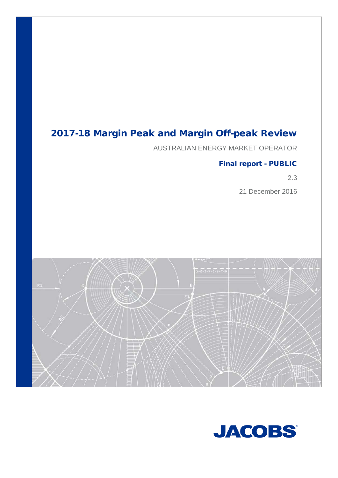# 2017-18 Margin Peak and Margin Off-peak Review

AUSTRALIAN ENERGY MARKET OPERATOR

# Final report - PUBLIC

2.3

21 December 2016



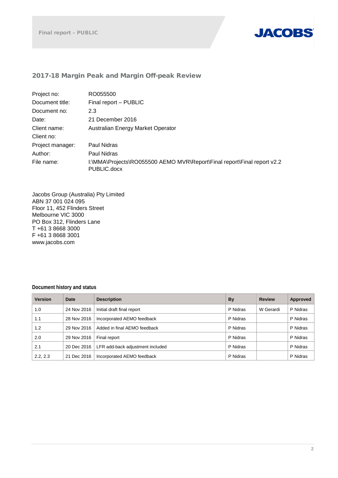

### 2017-18 Margin Peak and Margin Off-peak Review

| Project no:      | RO055500                                                                               |
|------------------|----------------------------------------------------------------------------------------|
| Document title:  | Final report - PUBLIC                                                                  |
| Document no:     | 2.3                                                                                    |
| Date:            | 21 December 2016                                                                       |
| Client name:     | Australian Energy Market Operator                                                      |
| Client no:       |                                                                                        |
| Project manager: | Paul Nidras                                                                            |
| Author:          | Paul Nidras                                                                            |
| File name:       | I:\MMA\Projects\RO055500 AEMO MVR\Report\Final report\Final report v2.2<br>PUBLIC.docx |

Jacobs Group (Australia) Pty Limited ABN 37 001 024 095 Floor 11, 452 Flinders Street Melbourne VIC 3000 PO Box 312, Flinders Lane T +61 3 8668 3000 F +61 3 8668 3001 www.jacobs.com

#### **Document history and status**

| <b>Version</b> | <b>Date</b> | <b>Description</b>               | By       | <b>Review</b> | Approved |
|----------------|-------------|----------------------------------|----------|---------------|----------|
| 1.0            | 24 Nov 2016 | Initial draft final report       | P Nidras | W Gerardi     | P Nidras |
| 1.1            | 28 Nov 2016 | Incorporated AEMO feedback       | P Nidras |               | P Nidras |
| 1.2            | 29 Nov 2016 | Added in final AEMO feedback     | P Nidras |               | P Nidras |
| 2.0            | 29 Nov 2016 | Final report                     | P Nidras |               | P Nidras |
| 2.1            | 20 Dec 2016 | LFR add-back adjustment included | P Nidras |               | P Nidras |
| 2.2, 2.3       | 21 Dec 2016 | Incorporated AEMO feedback       | P Nidras |               | P Nidras |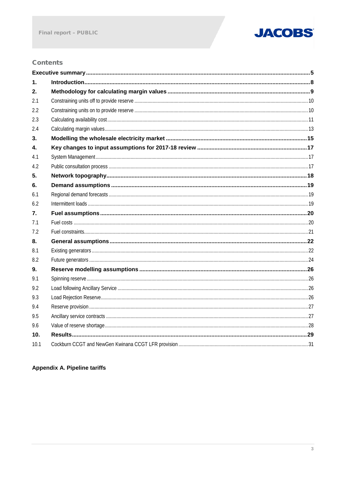

## **Contents**

| 1.               |  |
|------------------|--|
| 2.               |  |
| 2.1              |  |
| 2.2              |  |
| 2.3              |  |
| 2.4              |  |
| 3 <sub>1</sub>   |  |
| $\blacktriangle$ |  |
| 4.1              |  |
| 4.2              |  |
| 5.               |  |
| 6.               |  |
| 6.1              |  |
| 6.2              |  |
| 7.               |  |
| 7.1              |  |
| 7.2              |  |
| 8.               |  |
| 8.1              |  |
| 8.2              |  |
| 9.               |  |
| 9.1              |  |
| 9.2              |  |
| 9.3              |  |
| 9.4              |  |
| 9.5              |  |
| 9.6              |  |
| 10.              |  |
| 10.1             |  |

# Appendix A. Pipeline tariffs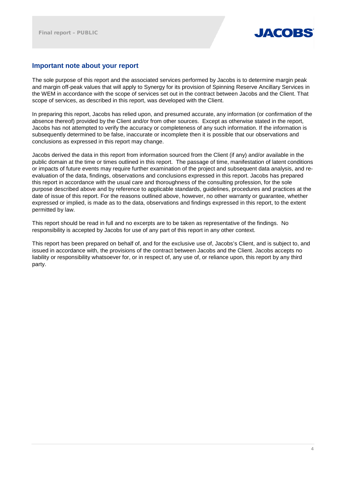

## **Important note about your report**

The sole purpose of this report and the associated services performed by Jacobs is to determine margin peak and margin off-peak values that will apply to Synergy for its provision of Spinning Reserve Ancillary Services in the WEM in accordance with the scope of services set out in the contract between Jacobs and the Client. That scope of services, as described in this report, was developed with the Client.

In preparing this report, Jacobs has relied upon, and presumed accurate, any information (or confirmation of the absence thereof) provided by the Client and/or from other sources. Except as otherwise stated in the report, Jacobs has not attempted to verify the accuracy or completeness of any such information. If the information is subsequently determined to be false, inaccurate or incomplete then it is possible that our observations and conclusions as expressed in this report may change.

Jacobs derived the data in this report from information sourced from the Client (if any) and/or available in the public domain at the time or times outlined in this report. The passage of time, manifestation of latent conditions or impacts of future events may require further examination of the project and subsequent data analysis, and reevaluation of the data, findings, observations and conclusions expressed in this report. Jacobs has prepared this report in accordance with the usual care and thoroughness of the consulting profession, for the sole purpose described above and by reference to applicable standards, guidelines, procedures and practices at the date of issue of this report. For the reasons outlined above, however, no other warranty or guarantee, whether expressed or implied, is made as to the data, observations and findings expressed in this report, to the extent permitted by law.

This report should be read in full and no excerpts are to be taken as representative of the findings. No responsibility is accepted by Jacobs for use of any part of this report in any other context.

This report has been prepared on behalf of, and for the exclusive use of, Jacobs's Client, and is subject to, and issued in accordance with, the provisions of the contract between Jacobs and the Client. Jacobs accepts no liability or responsibility whatsoever for, or in respect of, any use of, or reliance upon, this report by any third party.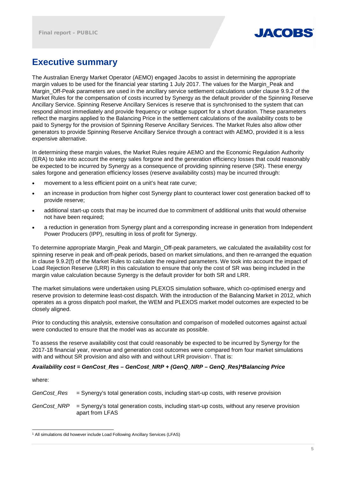

# **Executive summary**

The Australian Energy Market Operator (AEMO) engaged Jacobs to assist in determining the appropriate margin values to be used for the financial year starting 1 July 2017. The values for the Margin\_Peak and Margin\_Off-Peak parameters are used in the ancillary service settlement calculations under clause 9.9.2 of the Market Rules for the compensation of costs incurred by Synergy as the default provider of the Spinning Reserve Ancillary Service. Spinning Reserve Ancillary Services is reserve that is synchronised to the system that can respond almost immediately and provide frequency or voltage support for a short duration. These parameters reflect the margins applied to the Balancing Price in the settlement calculations of the availability costs to be paid to Synergy for the provision of Spinning Reserve Ancillary Services. The Market Rules also allow other generators to provide Spinning Reserve Ancillary Service through a contract with AEMO, provided it is a less expensive alternative.

In determining these margin values, the Market Rules require AEMO and the Economic Regulation Authority (ERA) to take into account the energy sales forgone and the generation efficiency losses that could reasonably be expected to be incurred by Synergy as a consequence of providing spinning reserve (SR). These energy sales forgone and generation efficiency losses (reserve availability costs) may be incurred through:

- movement to a less efficient point on a unit's heat rate curve;
- an increase in production from higher cost Synergy plant to counteract lower cost generation backed off to provide reserve;
- additional start-up costs that may be incurred due to commitment of additional units that would otherwise not have been required;
- a reduction in generation from Synergy plant and a corresponding increase in generation from Independent Power Producers (IPP), resulting in loss of profit for Synergy.

To determine appropriate Margin\_Peak and Margin\_Off-peak parameters, we calculated the availability cost for spinning reserve in peak and off-peak periods, based on market simulations, and then re-arranged the equation in clause 9.9.2(f) of the Market Rules to calculate the required parameters. We took into account the impact of Load Rejection Reserve (LRR) in this calculation to ensure that only the cost of SR was being included in the margin value calculation because Synergy is the default provider for both SR and LRR.

The market simulations were undertaken using PLEXOS simulation software, which co-optimised energy and reserve provision to determine least-cost dispatch. With the introduction of the Balancing Market in 2012, which operates as a gross dispatch pool market, the WEM and PLEXOS market model outcomes are expected to be closely aligned.

Prior to conducting this analysis, extensive consultation and comparison of modelled outcomes against actual were conducted to ensure that the model was as accurate as possible.

To assess the reserve availability cost that could reasonably be expected to be incurred by Synergy for the 2017-18 financial year, revenue and generation cost outcomes were compared from four market simulations with and without SR provision and also with and without LRR provision<sup>1</sup>. That is:

### *Availability cost = GenCost\_Res – GenCost\_NRP + (GenQ\_NRP – GenQ\_Res)\*Balancing Price*

where:

*GenCost\_Res* = Synergy's total generation costs, including start-up costs, with reserve provision

*GenCost\_NRP* = Synergy's total generation costs, including start-up costs, without any reserve provision apart from LFAS

<span id="page-4-0"></span><sup>&</sup>lt;sup>1</sup> All simulations did however include Load Following Ancillary Services (LFAS)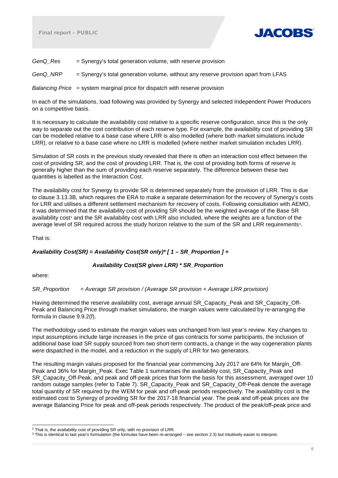

*GenQ\_Res* = Synergy's total generation volume, with reserve provision

*GenQ\_NRP* = Synergy's total generation volume, without any reserve provision apart from LFAS

*Balancing Price* = system marginal price for dispatch with reserve provision

In each of the simulations, load following was provided by Synergy and selected Independent Power Producers on a competitive basis.

It is necessary to calculate the availability cost relative to a specific reserve configuration, since this is the only way to separate out the cost contribution of each reserve type. For example, the availability cost of providing SR can be modelled relative to a base case where LRR is also modelled (where both market simulations include LRR), or relative to a base case where no LRR is modelled (where neither market simulation includes LRR).

Simulation of SR costs in the previous study revealed that there is often an interaction cost effect between the cost of providing SR, and the cost of providing LRR. That is, the cost of providing both forms of reserve is generally higher than the sum of providing each reserve separately. The difference between these two quantities is labelled as the Interaction Cost.

The availability cost for Synergy to provide SR is determined separately from the provision of LRR. This is due to clause 3.13.3B, which requires the ERA to make a separate determination for the recovery of Synergy's costs for LRR and utilises a different settlement mechanism for recovery of costs. Following consultation with AEMO, it was determined that the availability cost of providing SR should be the weighted average of the Base SR availability  $cost^2$  $cost^2$  and the SR availability cost with LRR also included, where the weights are a function of the average level of SR required across the study horizon relative to the sum of the SR and LRR requirements<sup>[3](#page-5-1)</sup>.

That is:

## *Availability Cost(SR) = Availability Cost(SR only)\* [ 1 – SR\_Proportion ] +*

### *Availability Cost(SR given LRR) \* SR\_Proportion*

where:

*SR\_Proportion = Average SR provision / (Average SR provision + Average LRR provision)*

Having determined the reserve availability cost, average annual SR\_Capacity\_Peak and SR\_Capacity\_Off-Peak and Balancing Price through market simulations, the margin values were calculated by re-arranging the formula in clause 9.9.2(f).

The methodology used to estimate the margin values was unchanged from last year's review. Key changes to input assumptions include large increases in the price of gas contracts for some participants, the inclusion of additional base load SR supply sourced from two short-term contracts, a change in the way cogeneration plants were dispatched in the model, and a reduction in the supply of LRR for two generators.

The resulting margin values proposed for the financial year commencing July 2017 are 64% for Margin\_Off-Peak and 36% for Margin Peak. [Exec Table 1](#page-6-0) summarises the availability cost, SR\_Capacity\_Peak and SR\_Capacity\_Off-Peak, and peak and off-peak prices that form the basis for this assessment, averaged over 10 random outage samples (refer to [Table 7\)](#page-32-0). SR\_Capacity\_Peak and SR\_Capacity\_Off-Peak denote the average total quantity of SR required by the WEM for peak and off-peak periods respectively. The availability cost is the estimated cost to Synergy of providing SR for the 2017-18 financial year. The peak and off-peak prices are the average Balancing Price for peak and off-peak periods respectively. The product of the peak/off-peak price and

<span id="page-5-0"></span><sup>&</sup>lt;sup>2</sup> That is, the availability cost of providing SR only, with no provision of LRR.

<span id="page-5-1"></span><sup>3</sup> This is identical to last year's formulation (the formulas have been re-arranged – see section [2.3\)](#page-10-0) but intuitively easier to interpret.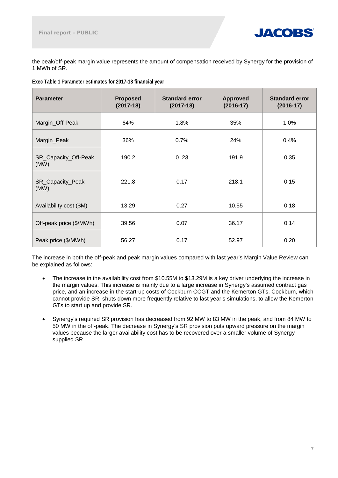

the peak/off-peak margin value represents the amount of compensation received by Synergy for the provision of 1 MWh of SR.

<span id="page-6-0"></span>**Exec Table 1 Parameter estimates for 2017-18 financial year**

| <b>Parameter</b>             | <b>Proposed</b><br>$(2017-18)$ | <b>Standard error</b><br>$(2017-18)$ | <b>Approved</b><br>$(2016-17)$ | <b>Standard error</b><br>$(2016-17)$ |
|------------------------------|--------------------------------|--------------------------------------|--------------------------------|--------------------------------------|
| Margin_Off-Peak              | 64%                            | 1.8%                                 | 35%                            | 1.0%                                 |
| Margin_Peak                  | 36%                            | 0.7%                                 | 24%                            | 0.4%                                 |
| SR_Capacity_Off-Peak<br>(MW) | 190.2                          | 0.23                                 | 191.9                          | 0.35                                 |
| SR_Capacity_Peak<br>(MW)     | 221.8                          | 0.17                                 | 218.1                          | 0.15                                 |
| Availability cost (\$M)      | 13.29                          | 0.27                                 | 10.55                          | 0.18                                 |
| Off-peak price (\$/MWh)      | 39.56                          | 0.07                                 | 36.17                          | 0.14                                 |
| Peak price (\$/MWh)          | 56.27                          | 0.17                                 | 52.97                          | 0.20                                 |

The increase in both the off-peak and peak margin values compared with last year's Margin Value Review can be explained as follows:

- The increase in the availability cost from \$10.55M to \$13.29M is a key driver underlying the increase in the margin values. This increase is mainly due to a large increase in Synergy's assumed contract gas price, and an increase in the start-up costs of Cockburn CCGT and the Kemerton GTs. Cockburn, which cannot provide SR, shuts down more frequently relative to last year's simulations, to allow the Kemerton GTs to start up and provide SR.
- Synergy's required SR provision has decreased from 92 MW to 83 MW in the peak, and from 84 MW to 50 MW in the off-peak. The decrease in Synergy's SR provision puts upward pressure on the margin values because the larger availability cost has to be recovered over a smaller volume of Synergysupplied SR.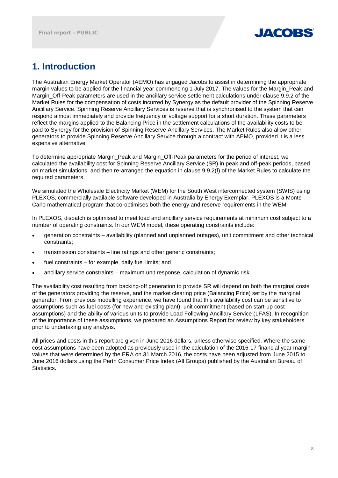

# **1. Introduction**

The Australian Energy Market Operator (AEMO) has engaged Jacobs to assist in determining the appropriate margin values to be applied for the financial year commencing 1 July 2017. The values for the Margin\_Peak and Margin Off-Peak parameters are used in the ancillary service settlement calculations under clause 9.9.2 of the Market Rules for the compensation of costs incurred by Synergy as the default provider of the Spinning Reserve Ancillary Service. Spinning Reserve Ancillary Services is reserve that is synchronised to the system that can respond almost immediately and provide frequency or voltage support for a short duration. These parameters reflect the margins applied to the Balancing Price in the settlement calculations of the availability costs to be paid to Synergy for the provision of Spinning Reserve Ancillary Services. The Market Rules also allow other generators to provide Spinning Reserve Ancillary Service through a contract with AEMO, provided it is a less expensive alternative.

To determine appropriate Margin\_Peak and Margin\_Off-Peak parameters for the period of interest, we calculated the availability cost for Spinning Reserve Ancillary Service (SR) in peak and off-peak periods, based on market simulations, and then re-arranged the equation in clause 9.9.2(f) of the Market Rules to calculate the required parameters.

We simulated the Wholesale Electricity Market (WEM) for the South West interconnected system (SWIS) using PLEXOS, commercially available software developed in Australia by Energy Exemplar. PLEXOS is a Monte Carlo mathematical program that co-optimises both the energy and reserve requirements in the WEM.

In PLEXOS, dispatch is optimised to meet load and ancillary service requirements at minimum cost subject to a number of operating constraints. In our WEM model, these operating constraints include:

- generation constraints availability (planned and unplanned outages), unit commitment and other technical constraints;
- transmission constraints line ratings and other generic constraints;
- fuel constraints for example, daily fuel limits; and
- ancillary service constraints maximum unit response, calculation of dynamic risk.

The availability cost resulting from backing-off generation to provide SR will depend on both the marginal costs of the generators providing the reserve, and the market clearing price (Balancing Price) set by the marginal generator. From previous modelling experience, we have found that this availability cost can be sensitive to assumptions such as fuel costs (for new and existing plant), unit commitment (based on start-up cost assumptions) and the ability of various units to provide Load Following Ancillary Service (LFAS). In recognition of the importance of these assumptions, we prepared an Assumptions Report for review by key stakeholders prior to undertaking any analysis.

All prices and costs in this report are given in June 2016 dollars, unless otherwise specified. Where the same cost assumptions have been adopted as previously used in the calculation of the 2016-17 financial year margin values that were determined by the ERA on 31 March 2016, the costs have been adjusted from June 2015 to June 2016 dollars using the Perth Consumer Price Index (All Groups) published by the Australian Bureau of Statistics.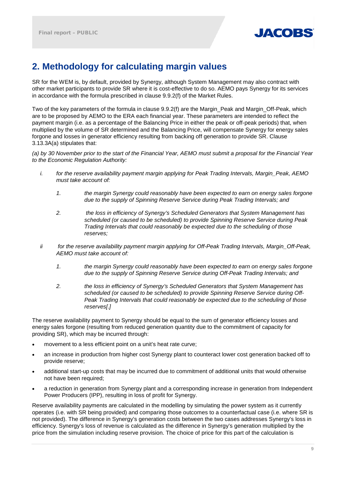

# <span id="page-8-0"></span>**2. Methodology for calculating margin values**

SR for the WEM is, by default, provided by Synergy, although System Management may also contract with other market participants to provide SR where it is cost-effective to do so. AEMO pays Synergy for its services in accordance with the formula prescribed in clause 9.9.2(f) of the Market Rules.

Two of the key parameters of the formula in clause 9.9.2(f) are the Margin\_Peak and Margin\_Off-Peak, which are to be proposed by AEMO to the ERA each financial year. These parameters are intended to reflect the payment margin (i.e. as a percentage of the Balancing Price in either the peak or off-peak periods) that, when multiplied by the volume of SR determined and the Balancing Price, will compensate Synergy for energy sales forgone and losses in generator efficiency resulting from backing off generation to provide SR. Clause 3.13.3A(a) stipulates that:

*(a) by 30 November prior to the start of the Financial Year, AEMO must submit a proposal for the Financial Year to the Economic Regulation Authority:*

- *i. for the reserve availability payment margin applying for Peak Trading Intervals, Margin\_Peak, AEMO must take account of:*
	- *1. the margin Synergy could reasonably have been expected to earn on energy sales forgone due to the supply of Spinning Reserve Service during Peak Trading Intervals; and*
	- *2. the loss in efficiency of Synergy's Scheduled Generators that System Management has scheduled (or caused to be scheduled) to provide Spinning Reserve Service during Peak Trading Intervals that could reasonably be expected due to the scheduling of those reserves;*
- *ii for the reserve availability payment margin applying for Off-Peak Trading Intervals, Margin\_Off-Peak, AEMO must take account of:*
	- *1. the margin Synergy could reasonably have been expected to earn on energy sales forgone due to the supply of Spinning Reserve Service during Off-Peak Trading Intervals; and*
	- *2. the loss in efficiency of Synergy's Scheduled Generators that System Management has scheduled (or caused to be scheduled) to provide Spinning Reserve Service during Off-Peak Trading Intervals that could reasonably be expected due to the scheduling of those reserves[.]*

The reserve availability payment to Synergy should be equal to the sum of generator efficiency losses and energy sales forgone (resulting from reduced generation quantity due to the commitment of capacity for providing SR), which may be incurred through:

- movement to a less efficient point on a unit's heat rate curve;
- an increase in production from higher cost Synergy plant to counteract lower cost generation backed off to provide reserve;
- additional start-up costs that may be incurred due to commitment of additional units that would otherwise not have been required;
- a reduction in generation from Synergy plant and a corresponding increase in generation from Independent Power Producers (IPP), resulting in loss of profit for Synergy.

Reserve availability payments are calculated in the modelling by simulating the power system as it currently operates (i.e. with SR being provided) and comparing those outcomes to a counterfactual case (i.e. where SR is not provided). The difference in Synergy's generation costs between the two cases addresses Synergy's loss in efficiency. Synergy's loss of revenue is calculated as the difference in Synergy's generation multiplied by the price from the simulation including reserve provision. The choice of price for this part of the calculation is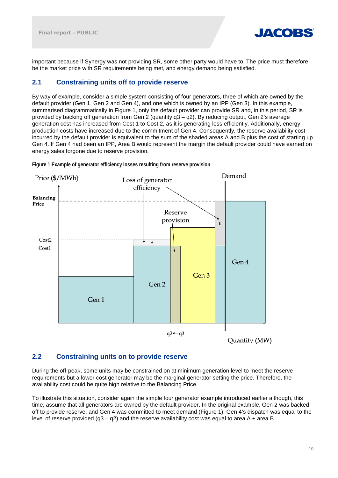

important because if Synergy was not providing SR, some other party would have to. The price must therefore be the market price with SR requirements being met, and energy demand being satisfied.

## **2.1 Constraining units off to provide reserve**

By way of example, consider a simple system consisting of four generators, three of which are owned by the default provider (Gen 1, Gen 2 and Gen 4), and one which is owned by an IPP (Gen 3). In this example, summarised diagrammatically in [Figure 1,](#page-9-0) only the default provider can provide SR and, in this period, SR is provided by backing off generation from Gen 2 (quantity q3 – q2). By reducing output, Gen 2's average generation cost has increased from Cost 1 to Cost 2, as it is generating less efficiently. Additionally, energy production costs have increased due to the commitment of Gen 4. Consequently, the reserve availability cost incurred by the default provider is equivalent to the sum of the shaded areas A and B plus the cost of starting up Gen 4. If Gen 4 had been an IPP, Area B would represent the margin the default provider could have earned on energy sales forgone due to reserve provision.



<span id="page-9-0"></span>**Figure 1 Example of generator efficiency losses resulting from reserve provision**

## **2.2 Constraining units on to provide reserve**

During the off-peak, some units may be constrained on at minimum generation level to meet the reserve requirements but a lower cost generator may be the marginal generator setting the price. Therefore, the availability cost could be quite high relative to the Balancing Price.

To illustrate this situation, consider again the simple four generator example introduced earlier although, this time, assume that all generators are owned by the default provider. In the original example, Gen 2 was backed off to provide reserve, and Gen 4 was committed to meet demand [\(Figure 1\)](#page-9-0). Gen 4's dispatch was equal to the level of reserve provided (q3 – q2) and the reserve availability cost was equal to area A + area B.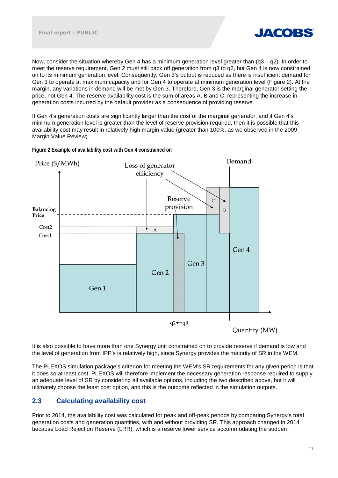

Now, consider the situation whereby Gen 4 has a minimum generation level greater than  $(q3 - q2)$ . In order to meet the reserve requirement, Gen 2 must still back off generation from q3 to q2, but Gen 4 is now constrained on to its minimum generation level. Consequently, Gen 3's output is reduced as there is insufficient demand for Gen 3 to operate at maximum capacity and for Gen 4 to operate at minimum generation level [\(Figure 2\)](#page-10-1). At the margin, any variations in demand will be met by Gen 3. Therefore, Gen 3 is the marginal generator setting the price, not Gen 4. The reserve availability cost is the sum of areas A, B and C, representing the increase in generation costs incurred by the default provider as a consequence of providing reserve.

If Gen 4's generation costs are significantly larger than the cost of the marginal generator, and if Gen 4's minimum generation level is greater than the level of reserve provision required, then it is possible that this availability cost may result in relatively high margin value (greater than 100%, as we observed in the 2009 Margin Value Review).

<span id="page-10-1"></span>**Figure 2 Example of availability cost with Gen 4 constrained on**



It is also possible to have more than one Synergy unit constrained on to provide reserve if demand is low and the level of generation from IPP's is relatively high, since Synergy provides the majority of SR in the WEM.

The PLEXOS simulation package's criterion for meeting the WEM's SR requirements for any given period is that it does so at least cost. PLEXOS will therefore implement the necessary generation response required to supply an adequate level of SR by considering all available options, including the two described above, but it will ultimately choose the least cost option, and this is the outcome reflected in the simulation outputs.

## <span id="page-10-0"></span>**2.3 Calculating availability cost**

Prior to 2014, the availability cost was calculated for peak and off-peak periods by comparing Synergy's total generation costs and generation quantities, with and without providing SR. This approach changed in 2014 because Load Rejection Reserve (LRR), which is a reserve lower service accommodating the sudden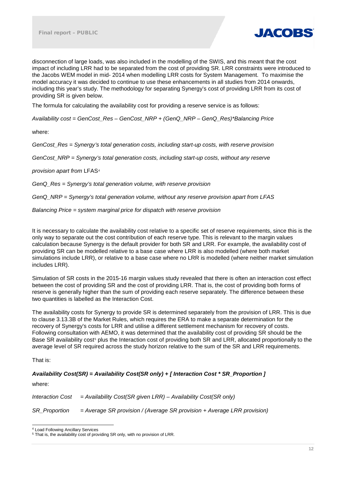

disconnection of large loads, was also included in the modelling of the SWIS, and this meant that the cost impact of including LRR had to be separated from the cost of providing SR. LRR constraints were introduced to the Jacobs WEM model in mid- 2014 when modelling LRR costs for System Management. To maximise the model accuracy it was decided to continue to use these enhancements in all studies from 2014 onwards, including this year's study. The methodology for separating Synergy's cost of providing LRR from its cost of providing SR is given below.

The formula for calculating the availability cost for providing a reserve service is as follows:

*Availability cost = GenCost\_Res – GenCost\_NRP + (GenQ\_NRP – GenQ\_Res)\*Balancing Price*

where:

*GenCost\_Res = Synergy's total generation costs, including start-up costs, with reserve provision*

*GenCost\_NRP = Synergy's total generation costs, including start-up costs, without any reserve*

*provision apart from* LFAS[4](#page-11-0)

*GenQ\_Res = Synergy's total generation volume, with reserve provision*

*GenQ\_NRP = Synergy's total generation volume, without any reserve provision apart from LFAS*

*Balancing Price = system marginal price for dispatch with reserve provision*

It is necessary to calculate the availability cost relative to a specific set of reserve requirements, since this is the only way to separate out the cost contribution of each reserve type. This is relevant to the margin values calculation because Synergy is the default provider for both SR and LRR. For example, the availability cost of providing SR can be modelled relative to a base case where LRR is also modelled (where both market simulations include LRR), or relative to a base case where no LRR is modelled (where neither market simulation includes LRR).

Simulation of SR costs in the 2015-16 margin values study revealed that there is often an interaction cost effect between the cost of providing SR and the cost of providing LRR. That is, the cost of providing both forms of reserve is generally higher than the sum of providing each reserve separately. The difference between these two quantities is labelled as the Interaction Cost.

The availability costs for Synergy to provide SR is determined separately from the provision of LRR. This is due to clause 3.13.3B of the Market Rules, which requires the ERA to make a separate determination for the recovery of Synergy's costs for LRR and utilise a different settlement mechanism for recovery of costs. Following consultation with AEMO, it was determined that the availability cost of providing SR should be the Base SR availability cost<sup>[5](#page-11-1)</sup> plus the Interaction cost of providing both SR and LRR, allocated proportionally to the average level of SR required across the study horizon relative to the sum of the SR and LRR requirements.

That is:

### *Availability Cost(SR) = Availability Cost(SR only) + [ Interaction Cost \* SR\_Proportion ]*

where:

*Interaction Cost = Availability Cost(SR given LRR) – Availability Cost(SR only)*

*SR\_Proportion = Average SR provision / (Average SR provision + Average LRR provision)*

 <sup>4</sup> Load Following Ancillary Services

<span id="page-11-1"></span><span id="page-11-0"></span><sup>&</sup>lt;sup>5</sup> That is, the availability cost of providing SR only, with no provision of LRR.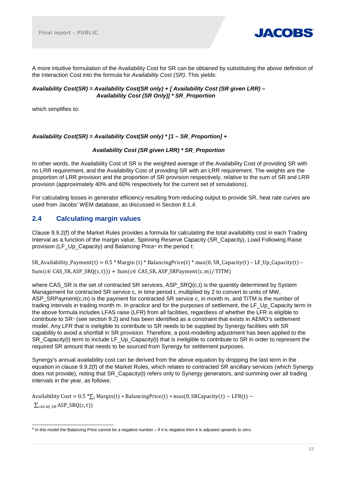

A more intuitive formulation of the Availability Cost for SR can be obtained by substituting the above definition of the Interaction Cost into the formula for *Availability Cost (SR)*. This yields:

#### *Availability Cost(SR) = Availability Cost(SR only) + [ Availability Cost (SR given LRR) – Availability Cost (SR Only)] \* SR\_Proportion*

which simplifies to:

### *Availability Cost(SR) = Availability Cost(SR only) \* [1 – SR\_Proportion] +*

#### *Availability Cost (SR given LRR) \* SR\_Proportion*

In other words, the Availability Cost of SR is the weighted average of the Availability Cost of providing SR with no LRR requirement, and the Availability Cost of providing SR with an LRR requirement. The weights are the proportion of LRR provision and the proportion of SR provision respectively, relative to the sum of SR and LRR provision (approximately 40% and 60% respectively for the current set of simulations).

For calculating losses in generator efficiency resulting from reducing output to provide SR, heat rate curves are used from Jacobs' WEM database, as discussed in Section [8.1.4.](#page-22-0)

## <span id="page-12-2"></span>**2.4 Calculating margin values**

Clause 9.9.2(f) of the Market Rules provides a formula for calculating the total availability cost in each Trading Interval as a function of the margin value, Spinning Reserve Capacity (SR\_Capacity), Load Following Raise provision (LF\_Up\_Capacity) and Balancing Price<sup>®</sup> in the period t:

SR\_Availability\_Payment(t) =  $0.5 *$  Margin (t)  $*$  BalancingPrice(t)  $*$  max(0, SR\_Capacity(t) – LF\_Up\_Capacity(t) – Sum(c∈ CAS\_SR, ASP\_SRQ(c, t))) + Sum(c∈ CAS\_SR, ASP\_SRPayment(c, m)/ TITM)

where CAS\_SR is the set of contracted SR services, ASP\_SRQ(c,t) is the quantity determined by System Management for contracted SR service c, in time period t, multiplied by 2 to convert to units of MW, ASP\_SRPayment(c,m) is the payment for contracted SR service c, in month m, and TITM is the number of trading intervals in trading month m. In practice and for the purposes of settlement, the LF\_Up\_Capacity term in the above formula includes LFAS raise (LFR) from all facilities, regardless of whether the LFR is eligible to contribute to SR[7](#page-12-1) (see section [9.2\)](#page-25-0) and has been identified as a constraint that exists in AEMO's settlement model. Any LFR that is ineligible to contribute to SR needs to be supplied by Synergy facilities with SR capability to avoid a shortfall in SR provision. Therefore, a post-modelling adjustment has been applied to the SR\_Capacity(t) term to include LF\_Up\_Capacity(t) that is ineligible to contribute to SR in order to represent the required SR amount that needs to be sourced from Synergy for settlement purposes.

Synergy's annual availability cost can be derived from the above equation by dropping the last term in the equation in clause 9.9.2(f) of the Market Rules, which relates to contracted SR ancillary services (which Synergy does not provide), noting that SR\_Capacity(t) refers only to Synergy generators, and summing over all trading intervals in the year, as follows:

Availability Cost =  $0.5 \times \sum_{t}$  Margin(t)  $*$  BalancingPrice(t)  $*$  max(0, SRCapacity(t) – LFR(t) –  $\sum_{c \in CAS\_SR} \text{ASP\_SRQ}(c,t))$ 

<span id="page-12-1"></span><span id="page-12-0"></span> $6$  In this model the Balancing Price cannot be a negative number – if it is negative then it is adjusted upwards to zero.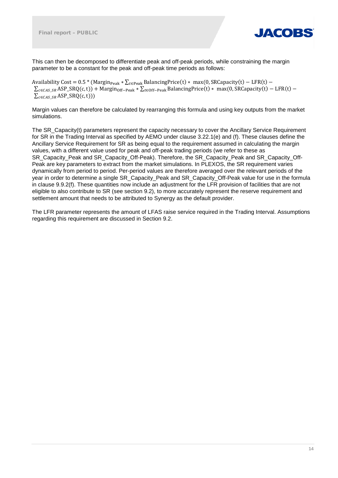

This can then be decomposed to differentiate peak and off-peak periods, while constraining the margin parameter to be a constant for the peak and off-peak time periods as follows:

Availability Cost = 0.5 \* (Margin<sub>Peak</sub> \*  $\sum_{t \in Peak}$  BalancingPrice(t) \* max(0, SRCapacity(t) – LFR(t) –  $\sum_{c \in CAS\_SR} \text{ASP\_SRQ}(c,t)) + \text{Margin}_{Off-Peak} * \sum_{t \in Off-Peak} \text{BalancingPrice}(t) * \text{max}(0, \text{SRCapacity}(t) - \text{LFR}(t) - \text{LFR}(t))$  $\sum_{c \in CAS\_SR} \text{ASP\_SRQ}(c,t))$ 

Margin values can therefore be calculated by rearranging this formula and using key outputs from the market simulations.

The SR\_Capacity(t) parameters represent the capacity necessary to cover the Ancillary Service Requirement for SR in the Trading Interval as specified by AEMO under clause 3.22.1(e) and (f). These clauses define the Ancillary Service Requirement for SR as being equal to the requirement assumed in calculating the margin values, with a different value used for peak and off-peak trading periods (we refer to these as SR\_Capacity\_Peak and SR\_Capacity\_Off-Peak). Therefore, the SR\_Capacity\_Peak and SR\_Capacity\_Off-Peak are key parameters to extract from the market simulations. In PLEXOS, the SR requirement varies dynamically from period to period. Per-period values are therefore averaged over the relevant periods of the year in order to determine a single SR\_Capacity\_Peak and SR\_Capacity\_Off-Peak value for use in the formula in clause 9.9.2(f). These quantities now include an adjustment for the LFR provision of facilities that are not eligible to also contribute to SR (see section [9.2\)](#page-25-0), to more accurately represent the reserve requirement and settlement amount that needs to be attributed to Synergy as the default provider.

The LFR parameter represents the amount of LFAS raise service required in the Trading Interval. Assumptions regarding this requirement are discussed in Section [9.2.](#page-25-0)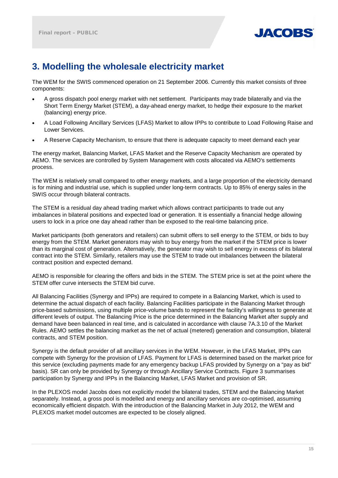

# **3. Modelling the wholesale electricity market**

The WEM for the SWIS commenced operation on 21 September 2006. Currently this market consists of three components:

- A gross dispatch pool energy market with net settlement. Participants may trade bilaterally and via the Short Term Energy Market (STEM), a day-ahead energy market, to hedge their exposure to the market (balancing) energy price.
- A Load Following Ancillary Services (LFAS) Market to allow IPPs to contribute to Load Following Raise and Lower Services.
- A Reserve Capacity Mechanism, to ensure that there is adequate capacity to meet demand each year

The energy market, Balancing Market, LFAS Market and the Reserve Capacity Mechanism are operated by AEMO. The services are controlled by System Management with costs allocated via AEMO's settlements process.

The WEM is relatively small compared to other energy markets, and a large proportion of the electricity demand is for mining and industrial use, which is supplied under long-term contracts. Up to 85% of energy sales in the SWIS occur through bilateral contracts.

The STEM is a residual day ahead trading market which allows contract participants to trade out any imbalances in bilateral positions and expected load or generation. It is essentially a financial hedge allowing users to lock in a price one day ahead rather than be exposed to the real-time balancing price.

Market participants (both generators and retailers) can submit offers to sell energy to the STEM, or bids to buy energy from the STEM. Market generators may wish to buy energy from the market if the STEM price is lower than its marginal cost of generation. Alternatively, the generator may wish to sell energy in excess of its bilateral contract into the STEM. Similarly, retailers may use the STEM to trade out imbalances between the bilateral contract position and expected demand.

AEMO is responsible for clearing the offers and bids in the STEM. The STEM price is set at the point where the STEM offer curve intersects the STEM bid curve.

All Balancing Facilities (Synergy and IPPs) are required to compete in a Balancing Market, which is used to determine the actual dispatch of each facility. Balancing Facilities participate in the Balancing Market through price-based submissions, using multiple price-volume bands to represent the facility's willingness to generate at different levels of output. The Balancing Price is the price determined in the Balancing Market after supply and demand have been balanced in real time, and is calculated in accordance with clause 7A.3.10 of the Market Rules. AEMO settles the balancing market as the net of actual (metered) generation and consumption, bilateral contracts, and STEM position.

Synergy is the default provider of all ancillary services in the WEM. However, in the LFAS Market, IPPs can compete with Synergy for the provision of LFAS. Payment for LFAS is determined based on the market price for this service (excluding payments made for any emergency backup LFAS provided by Synergy on a "pay as bid" basis). SR can only be provided by Synergy or through Ancillary Service Contracts. [Figure 3](#page-15-0) summarises participation by Synergy and IPPs in the Balancing Market, LFAS Market and provision of SR.

In the PLEXOS model Jacobs does not explicitly model the bilateral trades, STEM and the Balancing Market separately. Instead, a gross pool is modelled and energy and ancillary services are co-optimised, assuming economically efficient dispatch. With the introduction of the Balancing Market in July 2012, the WEM and PLEXOS market model outcomes are expected to be closely aligned.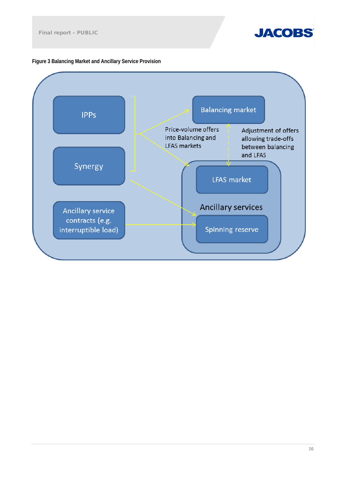

### <span id="page-15-0"></span>**Figure 3 Balancing Market and Ancillary Service Provision**

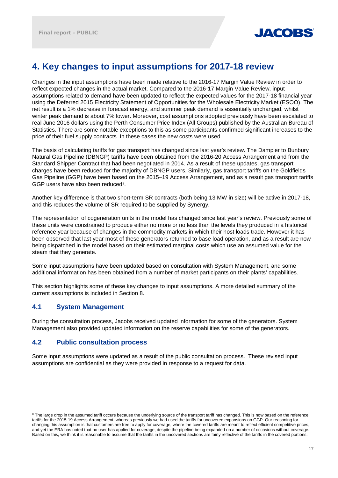

# **4. Key changes to input assumptions for 2017-18 review**

Changes in the input assumptions have been made relative to the 2016-17 Margin Value Review in order to reflect expected changes in the actual market. Compared to the 2016-17 Margin Value Review, input assumptions related to demand have been updated to reflect the expected values for the 2017-18 financial year using the Deferred 2015 Electricity Statement of Opportunities for the Wholesale Electricity Market (ESOO). The net result is a 1% decrease in forecast energy, and summer peak demand is essentially unchanged, whilst winter peak demand is about 7% lower. Moreover, cost assumptions adopted previously have been escalated to real June 2016 dollars using the Perth Consumer Price Index (All Groups) published by the Australian Bureau of Statistics. There are some notable exceptions to this as some participants confirmed significant increases to the price of their fuel supply contracts. In these cases the new costs were used.

The basis of calculating tariffs for gas transport has changed since last year's review. The Dampier to Bunbury Natural Gas Pipeline (DBNGP) tariffs have been obtained from the 2016-20 Access Arrangement and from the Standard Shipper Contract that had been negotiated in 2014. As a result of these updates, gas transport charges have been reduced for the majority of DBNGP users. Similarly, gas transport tariffs on the Goldfields Gas Pipeline (GGP) have been based on the 2015–19 Access Arrangement, and as a result gas transport tariffs GGP users have also been reduced<sup>[8](#page-16-0)</sup>.

Another key difference is that two short-term SR contracts (both being 13 MW in size) will be active in 2017-18, and this reduces the volume of SR required to be supplied by Synergy.

The representation of cogeneration units in the model has changed since last year's review. Previously some of these units were constrained to produce either no more or no less than the levels they produced in a historical reference year because of changes in the commodity markets in which their host loads trade. However it has been observed that last year most of these generators returned to base load operation, and as a result are now being dispatched in the model based on their estimated marginal costs which use an assumed value for the steam that they generate.

Some input assumptions have been updated based on consultation with System Management, and some additional information has been obtained from a number of market participants on their plants' capabilities.

This section highlights some of these key changes to input assumptions. A more detailed summary of the current assumptions is included in Section [8.](#page-21-0)

## **4.1 System Management**

During the consultation process, Jacobs received updated information for some of the generators. System Management also provided updated information on the reserve capabilities for some of the generators.

## **4.2 Public consultation process**

Some input assumptions were updated as a result of the public consultation process. These revised input assumptions are confidential as they were provided in response to a request for data.

<span id="page-16-0"></span><sup>&</sup>lt;sup>8</sup> The large drop in the assumed tariff occurs because the underlying source of the transport tariff has changed. This is now based on the reference tariffs for the 2015-19 Access Arrangement, whereas previously we had used the tariffs for uncovered expansions on GGP. Our reasoning for changing this assumption is that customers are free to apply for coverage, where the covered tariffs are meant to reflect efficient competitive prices, and yet the ERA has noted that no user has applied for coverage, despite the pipeline being expanded on a number of occasions without coverage. Based on this, we think it is reasonable to assume that the tariffs in the uncovered sections are fairly reflective of the tariffs in the covered portions.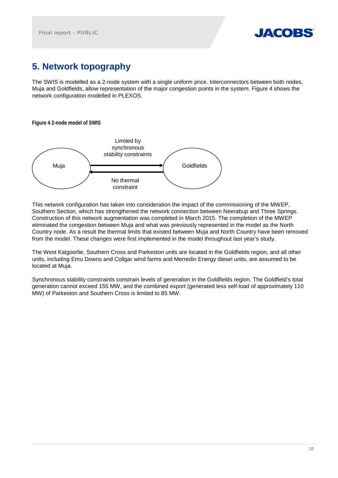

# **5. Network topography**

The SWIS is modelled as a 2-node system with a single uniform price. Interconnectors between both nodes, Muja and Goldfields, allow representation of the major congestion points in the system. [Figure 4](#page-17-0) shows the network configuration modelled in PLEXOS.

<span id="page-17-0"></span>**Figure 4 2-node model of SWIS**



This network configuration has taken into consideration the impact of the commissioning of the MWEP, Southern Section, which has strengthened the network connection between Neerabup and Three Springs. Construction of this network augmentation was completed in March 2015. The completion of the MWEP eliminated the congestion between Muja and what was previously represented in the model as the North Country node. As a result the thermal limits that existed between Muja and North Country have been removed from the model. These changes were first implemented in the model throughout last year's study.

The West Kalgoorlie, Southern Cross and Parkeston units are located in the Goldfields region, and all other units, including Emu Downs and Collgar wind farms and Merredin Energy diesel units, are assumed to be located at Muja.

Synchronous stability constraints constrain levels of generation in the Goldfields region. The Goldfield's total generation cannot exceed 155 MW, and the combined export (generated less self-load of approximately 110 MW) of Parkeston and Southern Cross is limited to 85 MW.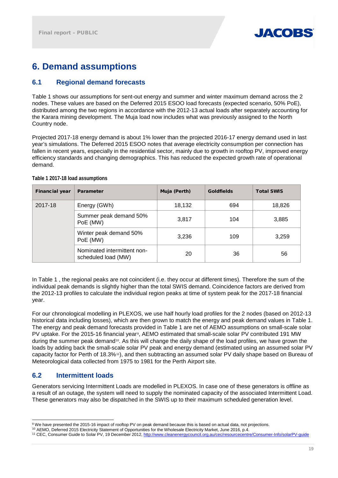

# **6. Demand assumptions**

## **6.1 Regional demand forecasts**

[Table 1](#page-18-0) shows our assumptions for sent-out energy and summer and winter maximum demand across the 2 nodes. These values are based on the Deferred 2015 ESOO load forecasts (expected scenario, 50% PoE), distributed among the two regions in accordance with the 2012-13 actual loads after separately accounting for the Karara mining development. The Muja load now includes what was previously assigned to the North Country node.

Projected 2017-18 energy demand is about 1% lower than the projected 2016-17 energy demand used in last year's simulations. The Deferred 2015 ESOO notes that average electricity consumption per connection has fallen in recent years, especially in the residential sector, mainly due to growth in rooftop PV, improved energy efficiency standards and changing demographics. This has reduced the expected growth rate of operational demand.

| <b>Financial year</b> | <b>Parameter</b>                                   | Muja (Perth) | <b>Goldfields</b> | <b>Total SWIS</b> |
|-----------------------|----------------------------------------------------|--------------|-------------------|-------------------|
| 2017-18               | Energy (GWh)                                       | 18,132       | 694               | 18,826            |
|                       | Summer peak demand 50%<br>PoE (MW)                 | 3,817        | 104               | 3,885             |
|                       | Winter peak demand 50%<br>PoE (MW)                 | 3,236        | 109               | 3,259             |
|                       | Nominated intermittent non-<br>scheduled load (MW) | 20           | 36                | 56                |

<span id="page-18-0"></span>**Table 1 2017-18 load assumptions**

In [Table 1](#page-18-0) , the regional peaks are not coincident (i.e. they occur at different times). Therefore the sum of the individual peak demands is slightly higher than the total SWIS demand. Coincidence factors are derived from the 2012-13 profiles to calculate the individual region peaks at time of system peak for the 2017-18 financial year.

For our chronological modelling in PLEXOS, we use half hourly load profiles for the 2 nodes (based on 2012-13 historical data including losses), which are then grown to match the energy and peak demand values in [Table 1.](#page-18-0) The energy and peak demand forecasts provided in [Table 1](#page-18-0) are net of AEMO assumptions on small-scale solar PV uptake. For the 2015-16 financial year[9,](#page-18-1) AEMO estimated that small-scale solar PV contributed 191 MW during the summer peak demand<sup>10</sup>. As this will change the daily shape of the load profiles, we have grown the loads by adding back the small-scale solar PV peak and energy demand (estimated using an assumed solar PV capacity factor for Perth of 18.3%[11\)](#page-18-3), and then subtracting an assumed solar PV daily shape based on Bureau of Meteorological data collected from 1975 to 1981 for the Perth Airport site.

## **6.2 Intermittent loads**

Generators servicing Intermittent Loads are modelled in PLEXOS. In case one of these generators is offline as a result of an outage, the system will need to supply the nominated capacity of the associated Intermittent Load. These generators may also be dispatched in the SWIS up to their maximum scheduled generation level.

<span id="page-18-1"></span><sup>&</sup>lt;sup>9</sup> We have presented the 2015-16 impact of rooftop PV on peak demand because this is based on actual data, not projections.

<sup>&</sup>lt;sup>10</sup> AEMO, Deferred 2015 Electricity Statement of Opportunities for the Wholesale Electricity Market, June 2016, p.4.

<span id="page-18-3"></span><span id="page-18-2"></span><sup>&</sup>lt;sup>11</sup> CEC, Consumer Guide to Solar PV, 19 December 2012,<http://www.cleanenergycouncil.org.au/cec/resourcecentre/Consumer-Info/solarPV-guide>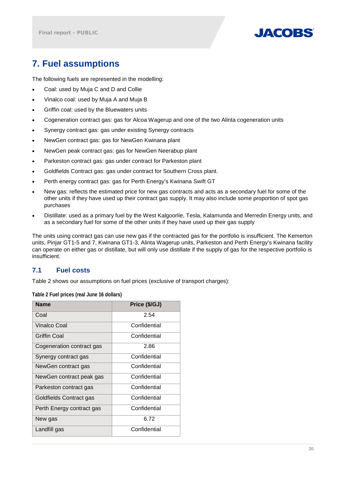

# **7. Fuel assumptions**

The following fuels are represented in the modelling:

- Coal: used by Muja C and D and Collie
- Vinalco coal: used by Muja A and Muja B
- Griffin coal: used by the Bluewaters units
- Cogeneration contract gas: gas for Alcoa Wagerup and one of the two Alinta cogeneration units
- Synergy contract gas: gas under existing Synergy contracts
- NewGen contract gas: gas for NewGen Kwinana plant
- NewGen peak contract gas: gas for NewGen Neerabup plant
- Parkeston contract gas: gas under contract for Parkeston plant
- Goldfields Contract gas: gas under contract for Southern Cross plant.
- Perth energy contract gas: gas for Perth Energy's Kwinana Swift GT
- New gas: reflects the estimated price for new gas contracts and acts as a secondary fuel for some of the other units if they have used up their contract gas supply. It may also include some proportion of spot gas purchases
- Distillate: used as a primary fuel by the West Kalgoorlie, Tesla, Kalamunda and Merredin Energy units, and as a secondary fuel for some of the other units if they have used up their gas supply

The units using contract gas can use new gas if the contracted gas for the portfolio is insufficient. The Kemerton units, Pinjar GT1-5 and 7, Kwinana GT1-3, Alinta Wagerup units, Parkeston and Perth Energy's Kwinana facility can operate on either gas or distillate, but will only use distillate if the supply of gas for the respective portfolio is insufficient.

## **7.1 Fuel costs**

[Table 2](#page-19-0) shows our assumptions on fuel prices (exclusive of transport charges):

<span id="page-19-0"></span>

| <b>Name</b>               | Price (\$/GJ) |
|---------------------------|---------------|
| Coal                      | 2.54          |
| Vinalco Coal              | Confidential  |
| Griffin Coal              | Confidential  |
| Cogeneration contract gas | 2.86          |
| Synergy contract gas      | Confidential  |
| NewGen contract gas       | Confidential  |
| NewGen contract peak gas  | Confidential  |
| Parkeston contract gas    | Confidential  |
| Goldfields Contract gas   | Confidential  |
| Perth Energy contract gas | Confidential  |
| New gas                   | 6.72          |
| Landfill gas              | Confidential  |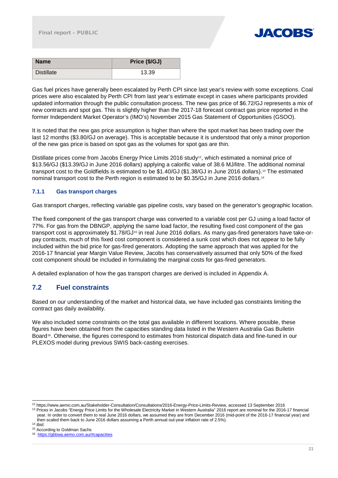

| <b>Name</b>       | Price (\$/GJ) |
|-------------------|---------------|
| <b>Distillate</b> | 13.39         |

Gas fuel prices have generally been escalated by Perth CPI since last year's review with some exceptions. Coal prices were also escalated by Perth CPI from last year's estimate except in cases where participants provided updated information through the public consultation process. The new gas price of \$6.72/GJ represents a mix of new contracts and spot gas. This is slightly higher than the 2017-18 forecast contract gas price reported in the former Independent Market Operator's (IMO's) November 2015 Gas Statement of Opportunities (GSOO).

It is noted that the new gas price assumption is higher than where the spot market has been trading over the last 12 months (\$3.80/GJ on average). This is acceptable because it is understood that only a minor proportion of the new gas price is based on spot gas as the volumes for spot gas are thin.

Distillate prices come from Jacobs Energy Price Limits 2016 study<sup>12</sup>, which estimated a nominal price of \$13.56/GJ (\$13.39/GJ in June 2016 dollars) applying a calorific value of 38.6 MJ/litre. The additional nominal transport cost to the Goldfields is estimated to be \$1.40/GJ (\$1.38/GJ in June 2016 dollars).[13](#page-20-1) The estimated nominal transport cost to the Perth region is estimated to be \$0.35/GJ in June 2016 dollars.[14](#page-20-2)

### **7.1.1 Gas transport charges**

Gas transport charges, reflecting variable gas pipeline costs, vary based on the generator's geographic location.

The fixed component of the gas transport charge was converted to a variable cost per GJ using a load factor of 77%. For gas from the DBNGP, applying the same load factor, the resulting fixed cost component of the gas transport cost is approximately \$1.78/GJ<sup>[15](#page-20-3)</sup> in real June 2016 dollars. As many gas-fired generators have take-orpay contracts, much of this fixed cost component is considered a sunk cost which does not appear to be fully included within the bid price for gas-fired generators. Adopting the same approach that was applied for the 2016-17 financial year Margin Value Review, Jacobs has conservatively assumed that only 50% of the fixed cost component should be included in formulating the marginal costs for gas-fired generators.

A detailed explanation of how the gas transport charges are derived is included in [Appendix A.](#page-33-0)

## **7.2 Fuel constraints**

Based on our understanding of the market and historical data, we have included gas constraints limiting the contract gas daily availability.

We also included some constraints on the total gas available in different locations. Where possible, these figures have been obtained from the capacities standing data listed in the Western Australia Gas Bulletin Board<sup>[16](#page-20-4)</sup>. Otherwise, the figures correspond to estimates from historical dispatch data and fine-tuned in our PLEXOS model during previous SWIS back-casting exercises.

<span id="page-20-0"></span> <sup>12</sup> https://www.aemo.com.au/Stakeholder-Consultation/Consultations/2016-Energy-Price-Limits-Review, accessed 13 September 2016

<span id="page-20-1"></span><sup>&</sup>lt;sup>13</sup> Prices in Jacobs "Energy Price Limits for the Wholesale Electricity Market in Western Australia" 2016 report are nominal for the 2016-17 financial year. In order to convert them to real June 2016 dollars, we assumed they are from December 2016 (mid-point of the 2016-17 financial year) and then scaled them back to June 2016 dollars assuming a Perth annual out-year inflation rate of 2.5%).

<span id="page-20-2"></span><sup>14</sup> *Ibid.*

<span id="page-20-3"></span><sup>&</sup>lt;sup>15</sup> According to Goldman Sachs

<span id="page-20-4"></span><sup>16</sup> <https://gbbwa.aemo.com.au/#capacities>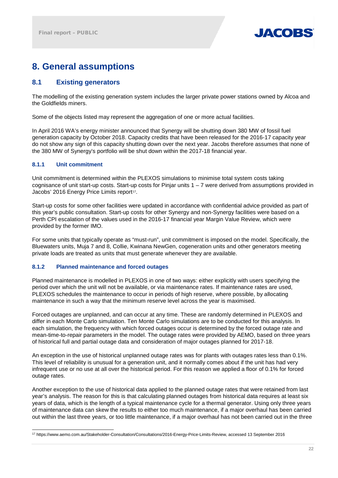

# <span id="page-21-0"></span>**8. General assumptions**

## **8.1 Existing generators**

The modelling of the existing generation system includes the larger private power stations owned by Alcoa and the Goldfields miners.

Some of the objects listed may represent the aggregation of one or more actual facilities.

In April 2016 WA's energy minister announced that Synergy will be shutting down 380 MW of fossil fuel generation capacity by October 2018. Capacity credits that have been released for the 2016-17 capacity year do not show any sign of this capacity shutting down over the next year. Jacobs therefore assumes that none of the 380 MW of Synergy's portfolio will be shut down within the 2017-18 financial year.

### **8.1.1 Unit commitment**

Unit commitment is determined within the PLEXOS simulations to minimise total system costs taking cognisance of unit start-up costs. Start-up costs for Pinjar units 1 – 7 were derived from assumptions provided in Jacobs' 2016 Energy Price Limits report<sup>17</sup>.

Start-up costs for some other facilities were updated in accordance with confidential advice provided as part of this year's public consultation. Start-up costs for other Synergy and non-Synergy facilities were based on a Perth CPI escalation of the values used in the 2016-17 financial year Margin Value Review, which were provided by the former IMO.

For some units that typically operate as "must-run", unit commitment is imposed on the model. Specifically, the Bluewaters units, Muja 7 and 8, Collie, Kwinana NewGen, cogeneration units and other generators meeting private loads are treated as units that must generate whenever they are available.

### **8.1.2 Planned maintenance and forced outages**

Planned maintenance is modelled in PLEXOS in one of two ways: either explicitly with users specifying the period over which the unit will not be available, or via maintenance rates. If maintenance rates are used, PLEXOS schedules the maintenance to occur in periods of high reserve, where possible, by allocating maintenance in such a way that the minimum reserve level across the year is maximised.

Forced outages are unplanned, and can occur at any time. These are randomly determined in PLEXOS and differ in each Monte Carlo simulation. Ten Monte Carlo simulations are to be conducted for this analysis. In each simulation, the frequency with which forced outages occur is determined by the forced outage rate and mean-time-to-repair parameters in the model. The outage rates were provided by AEMO, based on three years of historical full and partial outage data and consideration of major outages planned for 2017-18.

An exception in the use of historical unplanned outage rates was for plants with outages rates less than 0.1%. This level of reliability is unusual for a generation unit, and it normally comes about if the unit has had very infrequent use or no use at all over the historical period. For this reason we applied a floor of 0.1% for forced outage rates.

Another exception to the use of historical data applied to the planned outage rates that were retained from last year's analysis. The reason for this is that calculating planned outages from historical data requires at least six years of data, which is the length of a typical maintenance cycle for a thermal generator. Using only three years of maintenance data can skew the results to either too much maintenance, if a major overhaul has been carried out within the last three years, or too little maintenance, if a major overhaul has not been carried out in the three

<span id="page-21-1"></span> <sup>17</sup> https://www.aemo.com.au/Stakeholder-Consultation/Consultations/2016-Energy-Price-Limits-Review, accessed 13 September 2016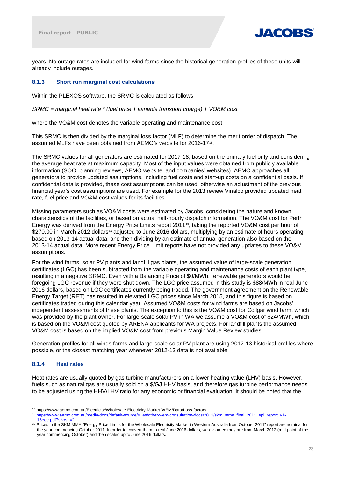

years. No outage rates are included for wind farms since the historical generation profiles of these units will already include outages.

#### **8.1.3 Short run marginal cost calculations**

Within the PLEXOS software, the SRMC is calculated as follows:

*SRMC = marginal heat rate \* (fuel price + variable transport charge) + VO&M cost*

where the VO&M cost denotes the variable operating and maintenance cost.

This SRMC is then divided by the marginal loss factor (MLF) to determine the merit order of dispatch. The assumed MLFs have been obtained from AEMO's website for 2016-17[18](#page-22-1).

The SRMC values for all generators are estimated for 2017-18, based on the primary fuel only and considering the average heat rate at maximum capacity. Most of the input values were obtained from publicly available information (SOO, planning reviews, AEMO website, and companies' websites). AEMO approaches all generators to provide updated assumptions, including fuel costs and start-up costs on a confidential basis. If confidential data is provided, these cost assumptions can be used, otherwise an adjustment of the previous financial year's cost assumptions are used. For example for the 2013 review Vinalco provided updated heat rate, fuel price and VO&M cost values for its facilities.

Missing parameters such as VO&M costs were estimated by Jacobs, considering the nature and known characteristics of the facilities, or based on actual half-hourly dispatch information. The VO&M cost for Perth Energy was derived from the Energy Price Limits report 2011<sup>9</sup>, taking the reported VO&M cost per hour of \$270.00 in March [20](#page-22-3)12 dollars<sup>20</sup> adjusted to June 2016 dollars, multiplying by an estimate of hours operating based on 2013-14 actual data, and then dividing by an estimate of annual generation also based on the 2013-14 actual data. More recent Energy Price Limit reports have not provided any updates to these VO&M assumptions.

For the wind farms, solar PV plants and landfill gas plants, the assumed value of large-scale generation certificates (LGC) has been subtracted from the variable operating and maintenance costs of each plant type, resulting in a negative SRMC. Even with a Balancing Price of \$0/MWh, renewable generators would be foregoing LGC revenue if they were shut down. The LGC price assumed in this study is \$88/MWh in real June 2016 dollars, based on LGC certificates currently being traded. The government agreement on the Renewable Energy Target (RET) has resulted in elevated LGC prices since March 2015, and this figure is based on certificates traded during this calendar year. Assumed VO&M costs for wind farms are based on Jacobs' independent assessments of these plants. The exception to this is the VO&M cost for Collgar wind farm, which was provided by the plant owner. For large-scale solar PV in WA we assume a VO&M cost of \$24/MWh, which is based on the VO&M cost quoted by ARENA applicants for WA projects. For landfill plants the assumed VO&M cost is based on the implied VO&M cost from previous Margin Value Review studies.

Generation profiles for all winds farms and large-scale solar PV plant are using 2012-13 historical profiles where possible, or the closest matching year whenever 2012-13 data is not available.

#### <span id="page-22-0"></span>**8.1.4 Heat rates**

Heat rates are usually quoted by gas turbine manufacturers on a lower heating value (LHV) basis. However, fuels such as natural gas are usually sold on a \$/GJ HHV basis, and therefore gas turbine performance needs to be adjusted using the HHV/LHV ratio for any economic or financial evaluation. It should be noted that the

<span id="page-22-1"></span> <sup>18</sup> https://www.aemo.com.au/Electricity/Wholesale-Electricity-Market-WEM/Data/Loss-factors

<span id="page-22-2"></span><sup>19</sup> [https://www.aemo.com.au/media/docs/default-source/rules/other-wem-consultation-docs/2011/skm\\_mma\\_final\\_2011\\_epl\\_report\\_v1-](https://www.aemo.com.au/media/docs/default-source/rules/other-wem-consultation-docs/2011/skm_mma_final_2011_epl_report_v1-15eee.pdf?sfvrsn=2)

[<sup>15</sup>eee.pdf?sfvrsn=2](https://www.aemo.com.au/media/docs/default-source/rules/other-wem-consultation-docs/2011/skm_mma_final_2011_epl_report_v1-15eee.pdf?sfvrsn=2)

<span id="page-22-3"></span><sup>&</sup>lt;sup>20</sup> Prices in the SKM MMA "Energy Price Limits for the Wholesale Electricity Market in Western Australia from October 2011" report are nominal for the year commencing October 2011. In order to convert them to real June 2016 dollars, we assumed they are from March 2012 (mid-point of the year commencing October) and then scaled up to June 2016 dollars.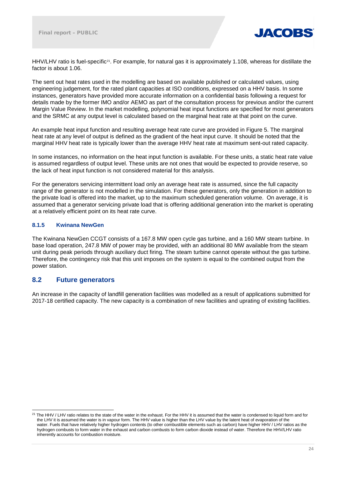

HHV/LHV ratio is fuel-specific[21.](#page-23-0) For example, for natural gas it is approximately 1.108, whereas for distillate the factor is about 1.06.

The sent out heat rates used in the modelling are based on available published or calculated values, using engineering judgement, for the rated plant capacities at ISO conditions, expressed on a HHV basis. In some instances, generators have provided more accurate information on a confidential basis following a request for details made by the former IMO and/or AEMO as part of the consultation process for previous and/or the current Margin Value Review. In the market modelling, polynomial heat input functions are specified for most generators and the SRMC at any output level is calculated based on the marginal heat rate at that point on the curve.

An example heat input function and resulting average heat rate curve are provided in [Figure 5.](#page-24-0) The marginal heat rate at any level of output is defined as the gradient of the heat input curve. It should be noted that the marginal HHV heat rate is typically lower than the average HHV heat rate at maximum sent-out rated capacity.

In some instances, no information on the heat input function is available. For these units, a static heat rate value is assumed regardless of output level. These units are not ones that would be expected to provide reserve, so the lack of heat input function is not considered material for this analysis.

For the generators servicing intermittent load only an average heat rate is assumed, since the full capacity range of the generator is not modelled in the simulation. For these generators, only the generation in addition to the private load is offered into the market, up to the maximum scheduled generation volume. On average, it is assumed that a generator servicing private load that is offering additional generation into the market is operating at a relatively efficient point on its heat rate curve.

#### **8.1.5 Kwinana NewGen**

The Kwinana NewGen CCGT consists of a 167.8 MW open cycle gas turbine, and a 160 MW steam turbine. In base load operation, 247.8 MW of power may be provided, with an additional 80 MW available from the steam unit during peak periods through auxiliary duct firing. The steam turbine cannot operate without the gas turbine. Therefore, the contingency risk that this unit imposes on the system is equal to the combined output from the power station.

## **8.2 Future generators**

An increase in the capacity of landfill generation facilities was modelled as a result of applications submitted for 2017-18 certified capacity. The new capacity is a combination of new facilities and uprating of existing facilities.

<span id="page-23-0"></span><sup>21</sup> The HHV / LHV ratio relates to the state of the water in the exhaust. For the HHV it is assumed that the water is condensed to liquid form and for the LHV it is assumed the water is in vapour form. The HHV value is higher than the LHV value by the latent heat of evaporation of the water. Fuels that have relatively higher hydrogen contents (to other combustible elements such as carbon) have higher HHV / LHV ratios as the hydrogen combusts to form water in the exhaust and carbon combusts to form carbon dioxide instead of water. Therefore the HHV/LHV ratio inherently accounts for combustion moisture.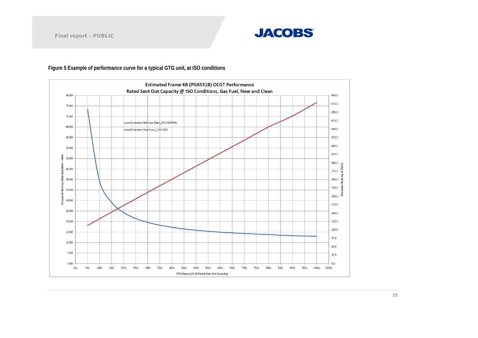

<span id="page-24-0"></span>

**Figure 5 Example of performance curve for a typical GTG unit, at ISO conditions**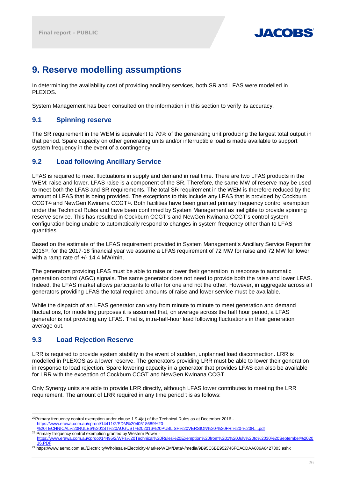

# **9. Reserve modelling assumptions**

In determining the availability cost of providing ancillary services, both SR and LFAS were modelled in PLEXOS.

System Management has been consulted on the information in this section to verify its accuracy.

## **9.1 Spinning reserve**

The SR requirement in the WEM is equivalent to 70% of the generating unit producing the largest total output in that period. Spare capacity on other generating units and/or interruptible load is made available to support system frequency in the event of a contingency.

## <span id="page-25-0"></span>**9.2 Load following Ancillary Service**

LFAS is required to meet fluctuations in supply and demand in real time. There are two LFAS products in the WEM: raise and lower. LFAS raise is a component of the SR. Therefore, the same MW of reserve may be used to meet both the LFAS and SR requirements. The total SR requirement in the WEM is therefore reduced by the amount of LFAS that is being provided. The exceptions to this include any LFAS that is provided by Cockburn CCGT<sup>[22](#page-25-1)</sup> and NewGen Kwinana CCGT<sup>[23](#page-25-2)</sup>. Both facilities have been granted primary frequency control exemption under the Technical Rules and have been confirmed by System Management as ineligible to provide spinning reserve service. This has resulted in Cockburn CCGT's and NewGen Kwinana CCGT's control system configuration being unable to automatically respond to changes in system frequency other than to LFAS quantities.

Based on the estimate of the LFAS requirement provided in System Management's Ancillary Service Report for 2016[24,](#page-25-3) for the 2017-18 financial year we assume a LFAS requirement of 72 MW for raise and 72 MW for lower with a ramp rate of +/- 14.4 MW/min.

The generators providing LFAS must be able to raise or lower their generation in response to automatic generation control (AGC) signals. The same generator does not need to provide both the raise and lower LFAS. Indeed, the LFAS market allows participants to offer for one and not the other. However, in aggregate across all generators providing LFAS the total required amounts of raise and lower service must be available.

While the dispatch of an LFAS generator can vary from minute to minute to meet generation and demand fluctuations, for modelling purposes it is assumed that, on average across the half hour period, a LFAS generator is not providing any LFAS. That is, intra-half-hour load following fluctuations in their generation average out.

## **9.3 Load Rejection Reserve**

LRR is required to provide system stability in the event of sudden, unplanned load disconnection. LRR is modelled in PLEXOS as a lower reserve. The generators providing LRR must be able to lower their generation in response to load rejection. Spare lowering capacity in a generator that provides LFAS can also be available for LRR with the exception of Cockburn CCGT and NewGen Kwinana CCGT.

Only Synergy units are able to provide LRR directly, although LFAS lower contributes to meeting the LRR requirement. The amount of LRR required in any time period t is as follows:

<span id="page-25-1"></span> $22$ Primary frequency control exemption under clause 1.9.4(a) of the Technical Rules as at December 2016 https://www.erawa.com.au/cproot/14411/2/EDM%2040518689%20-

<span id="page-25-2"></span><sup>%20</sup>TECHNICAL%20RULES%201ST%20AUGUST%202016%20PUBLISH%20VERSION%20-%20FRI%20-%20R....pdf <sup>23</sup> Primary frequency control exemption granted by Western Power -

https://www.erawa.com.au/cproot/14495/2/WPs%20Technical%20Rules%20Exemption%20from%201%20July%20to%2030%20September%2020 16.PDF

<span id="page-25-3"></span><sup>24</sup> https://www.aemo.com.au/Electricity/Wholesale-Electricity-Market-WEM/Data/-/media/9B95C6BE952746FCACDAA686A6427303.ashx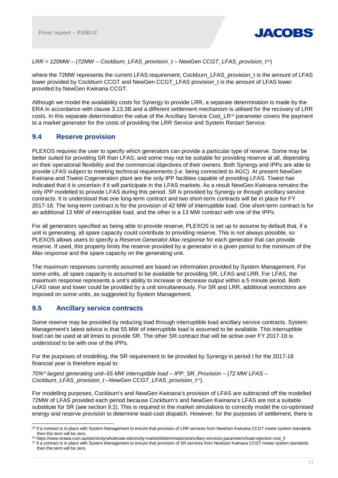

#### *LRR* = *120MW* – (*72MW – Cockburn\_LFAS\_provision\_t – NewGen CCGT\_LFAS\_provision\_t [25](#page-26-0)*)

where the 72MW represents the current LFAS requirement, Cockburn\_LFAS\_provision\_t is the amount of LFAS lower provided by Cockburn CCGT and NewGen CCGT\_LFAS provision\_t is the amount of LFAS lower provided by NewGen Kwinana CCGT.

Although we model the availability costs for Synergy to provide LRR, a separate determination is made by the ERA in accordance with clause 3.13.3B and a different settlement mechanism is utilised for the recovery of LRR costs. In this separate determination the value of the Ancillary Service Cost\_LR[26](#page-26-1) parameter covers the payment to a market generator for the costs of providing the LRR Service and System Restart Service.

## **9.4 Reserve provision**

PLEXOS requires the user to specify which generators can provide a particular type of reserve. Some may be better suited for providing SR than LFAS, and some may not be suitable for providing reserve at all, depending on their operational flexibility and the commercial objectives of their owners. Both Synergy and IPPs are able to provide LFAS subject to meeting technical requirements (i.e. being connected to AGC). At present NewGen Kwinana and Tiwest Cogeneration plant are the only IPP facilities capable of providing LFAS. Tiwest has indicated that it is uncertain if it will participate in the LFAS markets. As a result NewGen Kwinana remains the only IPP modelled to provide LFAS during this period. SR is provided by Synergy or through ancillary service contracts. It is understood that one long-term contract and two short-term contracts will be in place for FY 2017-18. The long-term contract is for the provision of 42 MW of interruptible load. One short-term contract is for an additional 13 MW of interruptible load, and the other is a 13 MW contract with one of the IPPs.

For all generators specified as being able to provide reserve, PLEXOS is set up to assume by default that, if a unit is generating, all spare capacity could contribute to providing reserve. This is not always possible, so PLEXOS allows users to specify a *Reserve.Generator.Max response* for each generator that can provide reserve. If used, this property limits the reserve provided by a generator in a given period to the minimum of the *Max response* and the spare capacity on the generating unit.

The maximum responses currently assumed are based on information provided by System Management. For some units, all spare capacity is assumed to be available for providing SR, LFAS and LRR. For LFAS, the maximum response represents a unit's ability to increase or decrease output within a 5 minute period. Both LFAS raise and lower could be provided by a unit simultaneously. For SR and LRR, additional restrictions are imposed on some units, as suggested by System Management.

## <span id="page-26-3"></span>**9.5 Ancillary service contracts**

Some reserve may be provided by reducing load through interruptible load ancillary service contracts. System Management's latest advice is that 55 MW of interruptible load is assumed to be available. This interruptible load can be used at all times to provide SR. The other SR contract that will be active over FY 2017-18 is understood to be with one of the IPPs.

For the purposes of modelling, the SR requirement to be provided by Synergy in period *t* for the 2017-18 financial year is therefore equal to:

*70%\* largest generating unit–55 MW interruptible load – IPP\_SR\_Provision –* (*72 MW LFAS – Cockburn\_LFAS\_provision\_t –NewGen CCGT\_LFAS\_provision\_t [27](#page-26-2)*)*.*

For modelling purposes, Cockburn's and NewGen Kwinana's provision of LFAS are subtracted off the modelled 72MW of LFAS provided each period because Cockburn's and NewGen Kwinana's LFAS are not a suitable substitute for SR (see section [9.2\)](#page-25-0). This is required in the market simulations to correctly model the co-optimised energy and reserve provision to determine least-cost dispatch. However, for the purposes of settlement, there is

<span id="page-26-0"></span><sup>&</sup>lt;sup>25</sup> If a contract is in place with System Management to ensure that provision of LRR services from NewGen Kwinana CCGT meets system standards then this term will be zero.

<span id="page-26-1"></span><sup>26</sup> https://www.erawa.com.au/electricity/wholesale-electricity-market/determinations/ancillary-services-parameters/load-rejection-cost\_lr

<span id="page-26-2"></span><sup>&</sup>lt;sup>27</sup> If a contract is in place with System Management to ensure that provision of SR services from NewGen Kwinana CCGT meets system standards then this term will be zero.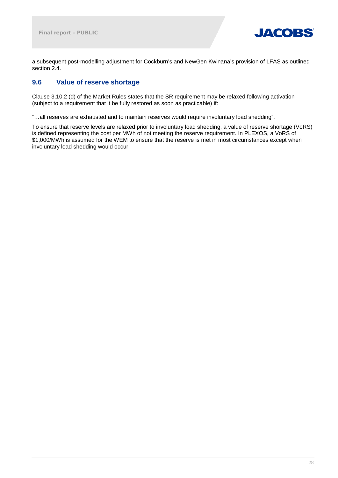

a subsequent post-modelling adjustment for Cockburn's and NewGen Kwinana's provision of LFAS as outlined section [2.4.](#page-12-2)

# **9.6 Value of reserve shortage**

Clause 3.10.2 (d) of the Market Rules states that the SR requirement may be relaxed following activation (subject to a requirement that it be fully restored as soon as practicable) if:

"…all reserves are exhausted and to maintain reserves would require involuntary load shedding".

To ensure that reserve levels are relaxed prior to involuntary load shedding, a value of reserve shortage (VoRS) is defined representing the cost per MWh of not meeting the reserve requirement. In PLEXOS, a VoRS of \$1,000/MWh is assumed for the WEM to ensure that the reserve is met in most circumstances except when involuntary load shedding would occur.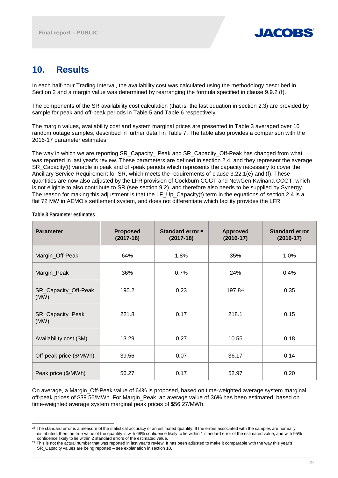

# <span id="page-28-1"></span>**10. Results**

In each half-hour Trading Interval, the availability cost was calculated using the methodology described in Section [2](#page-8-0) and a margin value was determined by rearranging the formula specified in clause 9.9.2 (f).

The components of the SR availability cost calculation (that is, the last equation in section [2.3\)](#page-10-0) are provided by sample for peak and off-peak periods in [Table 5](#page-30-0) and [Table 6](#page-31-0) respectively.

The margin values, availability cost and system marginal prices are presented in [Table 3](#page-28-0) averaged over 10 random outage samples, described in further detail in [Table 7.](#page-32-0) The table also provides a comparison with the 2016-17 parameter estimates.

The way in which we are reporting SR\_Capacity\_ Peak and SR\_Capacity\_Off-Peak has changed from what was reported in last year's review. These parameters are defined in section [2.4,](#page-12-2) and they represent the average SR Capacity(t) variable in peak and off-peak periods which represents the capacity necessary to cover the Ancillary Service Requirement for SR, which meets the requirements of clause 3.22.1(e) and (f). These quantities are now also adjusted by the LFR provision of Cockburn CCGT and NewGen Kwinana CCGT, which is not eligible to also contribute to SR (see section [9.2\)](#page-25-0), and therefore also needs to be supplied by Synergy. The reason for making this adjustment is that the LF\_Up\_Capacity(t) term in the equations of section [2.4](#page-12-2) is a flat 72 MW in AEMO's settlement system, and does not differentiate which facility provides the LFR.

| <b>Parameter</b>             | <b>Proposed</b><br>Standard error <sup>28</sup><br><b>Approved</b><br>$(2017-18)$<br>$(2016-17)$<br>$(2017-18)$ |      |         | <b>Standard error</b><br>$(2016-17)$ |
|------------------------------|-----------------------------------------------------------------------------------------------------------------|------|---------|--------------------------------------|
| Margin_Off-Peak              | 64%                                                                                                             | 1.8% | 35%     | 1.0%                                 |
| Margin_Peak                  | 36%                                                                                                             | 0.7% | 24%     | 0.4%                                 |
| SR_Capacity_Off-Peak<br>(MW) | 190.2                                                                                                           | 0.23 | 197.829 | 0.35                                 |
| SR_Capacity_Peak<br>(MW)     | 221.8                                                                                                           | 0.17 | 218.1   | 0.15                                 |
| Availability cost (\$M)      | 13.29                                                                                                           | 0.27 | 10.55   | 0.18                                 |
| Off-peak price (\$/MWh)      | 39.56                                                                                                           | 0.07 | 36.17   | 0.14                                 |
| Peak price (\$/MWh)          | 56.27                                                                                                           | 0.17 | 52.97   | 0.20                                 |

<span id="page-28-0"></span>**Table 3 Parameter estimates**

On average, a Margin\_Off-Peak value of 64% is proposed, based on time-weighted average system marginal off-peak prices of \$39.56/MWh. For Margin\_Peak, an average value of 36% has been estimated, based on time-weighted average system marginal peak prices of \$56.27/MWh.

<span id="page-28-2"></span><sup>&</sup>lt;sup>28</sup> The standard error is a measure of the statistical accuracy of an estimated quantity. If the errors associated with the samples are normally distributed, then the true value of the quantity is with 68% confidence likely to lie within 1 standard error of the estimated value, and with 95% confidence likely to lie within 2 standard errors of the estimated value.

<span id="page-28-3"></span><sup>&</sup>lt;sup>29</sup> This is not the actual number that was reported in last year's review. It has been adjusted to make it comparable with the way this year's SR\_Capacity values are being reported – see explanation in section [10.](#page-28-1)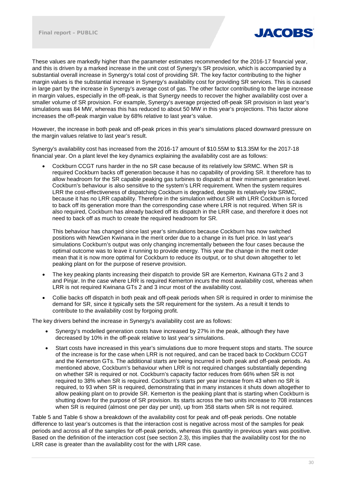

These values are markedly higher than the parameter estimates recommended for the 2016-17 financial year, and this is driven by a marked increase in the unit cost of Synergy's SR provision, which is accompanied by a substantial overall increase in Synergy's total cost of providing SR. The key factor contributing to the higher margin values is the substantial increase in Synergy's availability cost for providing SR services. This is caused in large part by the increase in Synergy's average cost of gas. The other factor contributing to the large increase in margin values, especially in the off-peak, is that Synergy needs to recover the higher availability cost over a smaller volume of SR provision. For example, Synergy's average projected off-peak SR provision in last year's simulations was 84 MW, whereas this has reduced to about 50 MW in this year's projections. This factor alone increases the off-peak margin value by 68% relative to last year's value.

However, the increase in both peak and off-peak prices in this year's simulations placed downward pressure on the margin values relative to last year's result.

Synergy's availability cost has increased from the 2016-17 amount of \$10.55M to \$13.35M for the 2017-18 financial year. On a plant level the key dynamics explaining the availability cost are as follows:

• Cockburn CCGT runs harder in the no SR case because of its relatively low SRMC. When SR is required Cockburn backs off generation because it has no capability of providing SR. It therefore has to allow headroom for the SR capable peaking gas turbines to dispatch at their minimum generation level. Cockburn's behaviour is also sensitive to the system's LRR requirement. When the system requires LRR the cost-effectiveness of dispatching Cockburn is degraded, despite its relatively low SRMC, because it has no LRR capability. Therefore in the simulation without SR with LRR Cockburn is forced to back off its generation more than the corresponding case where LRR is not required. When SR is also required, Cockburn has already backed off its dispatch in the LRR case, and therefore it does not need to back off as much to create the required headroom for SR.

This behaviour has changed since last year's simulations because Cockburn has now switched positions with NewGen Kwinana in the merit order due to a change in its fuel price. In last year's simulations Cockburn's output was only changing incrementally between the four cases because the optimal outcome was to leave it running to provide energy. This year the change in the merit order mean that it is now more optimal for Cockburn to reduce its output, or to shut down altogether to let peaking plant on for the purpose of reserve provision.

- The key peaking plants increasing their dispatch to provide SR are Kemerton, Kwinana GTs 2 and 3 and Pinjar. In the case where LRR is required Kemerton incurs the most availability cost, whereas when LRR is not required Kwinana GTs 2 and 3 incur most of the availability cost.
- Collie backs off dispatch in both peak and off-peak periods when SR is required in order to minimise the demand for SR, since it typically sets the SR requirement for the system. As a result it tends to contribute to the availability cost by forgoing profit.

The key drivers behind the increase in Synergy's availability cost are as follows:

- Synergy's modelled generation costs have increased by 27% in the peak, although they have decreased by 10% in the off-peak relative to last year's simulations.
- Start costs have increased in this year's simulations due to more frequent stops and starts. The source of the increase is for the case when LRR is not required, and can be traced back to Cockburn CCGT and the Kemerton GTs. The additional starts are being incurred in both peak and off-peak periods. As mentioned above, Cockburn's behaviour when LRR is not required changes substantially depending on whether SR is required or not. Cockburn's capacity factor reduces from 66% when SR is not required to 38% when SR is required. Cockburn's starts per year increase from 43 when no SR is required, to 93 when SR is required, demonstrating that in many instances it shuts down altogether to allow peaking plant on to provide SR. Kemerton is the peaking plant that is starting when Cockburn is shutting down for the purpose of SR provision. Its starts across the two units increase to 708 instances when SR is required (almost one per day per unit), up from 358 starts when SR is not required.

[Table 5](#page-30-0) and [Table 6](#page-31-0) show a breakdown of the availability cost for peak and off-peak periods. One notable difference to last year's outcomes is that the interaction cost is negative across most of the samples for peak periods and across all of the samples for off-peak periods, whereas this quantity in previous years was positive. Based on the definition of the interaction cost (see section [2.3\)](#page-10-0), this implies that the availability cost for the no LRR case is greater than the availability cost for the with LRR case.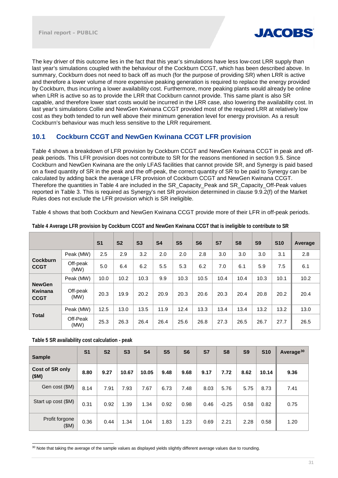

The key driver of this outcome lies in the fact that this year's simulations have less low-cost LRR supply than last year's simulations coupled with the behaviour of the Cockburn CCGT, which has been described above. In summary, Cockburn does not need to back off as much (for the purpose of providing SR) when LRR is active and therefore a lower volume of more expensive peaking generation is required to replace the energy provided by Cockburn, thus incurring a lower availability cost. Furthermore, more peaking plants would already be online when LRR is active so as to provide the LRR that Cockburn cannot provide. This same plant is also SR capable, and therefore lower start costs would be incurred in the LRR case, also lowering the availability cost. In last year's simulations Collie and NewGen Kwinana CCGT provided most of the required LRR at relatively low cost as they both tended to run well above their minimum generation level for energy provision. As a result Cockburn's behaviour was much less sensitive to the LRR requirement.

# **10.1 Cockburn CCGT and NewGen Kwinana CCGT LFR provision**

[Table 4](#page-30-1) shows a breakdown of LFR provision by Cockburn CCGT and NewGen Kwinana CCGT in peak and offpeak periods. This LFR provision does not contribute to SR for the reasons mentioned in section [9.5.](#page-26-3) Since Cockburn and NewGen Kwinana are the only LFAS facilities that cannot provide SR, and Synergy is paid based on a fixed quantity of SR in the peak and the off-peak, the correct quantity of SR to be paid to Synergy can be calculated by adding back the average LFR provision of Cockburn CCGT and NewGen Kwinana CCGT. Therefore the quantities in [Table 4](#page-30-1) are included in the SR\_Capacity\_Peak and SR\_Capacity\_Off-Peak values reported in [Table 3.](#page-28-0) This is required as Synergy's net SR provision determined in clause 9.9.2(f) of the Market Rules does not exclude the LFR provision which is SR ineligible.

[Table 4](#page-30-1) shows that both Cockburn and NewGen Kwinana CCGT provide more of their LFR in off-peak periods.

|                                                |                  | S <sub>1</sub> | <b>S2</b> | S <sub>3</sub> | <b>S4</b> | S <sub>5</sub> | S <sub>6</sub> | S7   | S <sub>8</sub> | S <sub>9</sub> | <b>S10</b> | Average |
|------------------------------------------------|------------------|----------------|-----------|----------------|-----------|----------------|----------------|------|----------------|----------------|------------|---------|
|                                                | Peak (MW)        | 2.5            | 2.9       | 3.2            | 2.0       | 2.0            | 2.8            | 3.0  | 3.0            | 3.0            | 3.1        | 2.8     |
| <b>Cockburn</b><br><b>CCGT</b>                 | Off-peak<br>(MW) | 5.0            | 6.4       | 6.2            | 5.5       | 5.3            | 6.2            | 7.0  | 6.1            | 5.9            | 7.5        | 6.1     |
| <b>NewGen</b><br><b>Kwinana</b><br><b>CCGT</b> | Peak (MW)        | 10.0           | 10.2      | 10.3           | 9.9       | 10.3           | 10.5           | 10.4 | 10.4           | 10.3           | 10.1       | 10.2    |
|                                                | Off-peak<br>(MW) | 20.3           | 19.9      | 20.2           | 20.9      | 20.3           | 20.6           | 20.3 | 20.4           | 20.8           | 20.2       | 20.4    |
| <b>Total</b>                                   | Peak (MW)        | 12.5           | 13.0      | 13.5           | 11.9      | 12.4           | 13.3           | 13.4 | 13.4           | 13.2           | 13.2       | 13.0    |
|                                                | Off-Peak<br>(MW) | 25.3           | 26.3      | 26.4           | 26.4      | 25.6           | 26.8           | 27.3 | 26.5           | 26.7           | 27.7       | 26.5    |

<span id="page-30-1"></span>**Table 4 Average LFR provision by Cockburn CCGT and NewGen Kwinana CCGT that is ineligible to contribute to SR**

<span id="page-30-0"></span>**Table 5 SR availability cost calculation - peak**

| <b>Sample</b>           | S <sub>1</sub> | S <sub>2</sub> | S <sub>3</sub> | <b>S4</b> | S <sub>5</sub> | S <sub>6</sub> | S7   | S <sub>8</sub> | <b>S9</b> | <b>S10</b> | Average <sup>30</sup> |
|-------------------------|----------------|----------------|----------------|-----------|----------------|----------------|------|----------------|-----------|------------|-----------------------|
| Cost of SR only<br>(SM) | 8.80           | 9.27           | 10.67          | 10.05     | 9.48           | 9.68           | 9.17 | 7.72           | 8.62      | 10.14      | 9.36                  |
| Gen cost (\$M)          | 8.14           | 7.91           | 7.93           | 7.67      | 6.73           | 7.48           | 8.03 | 5.76           | 5.75      | 8.73       | 7.41                  |
| Start up cost (\$M)     | 0.31           | 0.92           | 1.39           | 1.34      | 0.92           | 0.98           | 0.46 | $-0.25$        | 0.58      | 0.82       | 0.75                  |
| Profit forgone<br>(SM)  | 0.36           | 0.44           | 1.34           | 1.04      | 1.83           | 1.23           | 0.69 | 2.21           | 2.28      | 0.58       | 1.20                  |

<span id="page-30-2"></span><sup>30</sup> Note that taking the average of the sample values as displayed yields slightly different average values due to rounding.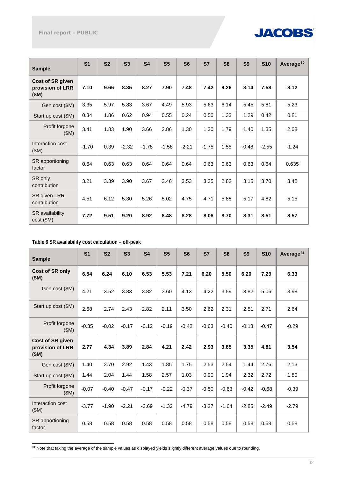

| <b>Sample</b>                                | S <sub>1</sub> | <b>S2</b> | <b>S3</b> | <b>S4</b> | S <sub>5</sub> | S <sub>6</sub> | <b>S7</b> | S <sub>8</sub> | <b>S9</b> | <b>S10</b> | Average <sup>30</sup> |
|----------------------------------------------|----------------|-----------|-----------|-----------|----------------|----------------|-----------|----------------|-----------|------------|-----------------------|
| Cost of SR given<br>provision of LRR<br>(SM) | 7.10           | 9.66      | 8.35      | 8.27      | 7.90           | 7.48           | 7.42      | 9.26           | 8.14      | 7.58       | 8.12                  |
| Gen cost (\$M)                               | 3.35           | 5.97      | 5.83      | 3.67      | 4.49           | 5.93           | 5.63      | 6.14           | 5.45      | 5.81       | 5.23                  |
| Start up cost (\$M)                          | 0.34           | 1.86      | 0.62      | 0.94      | 0.55           | 0.24           | 0.50      | 1.33           | 1.29      | 0.42       | 0.81                  |
| Profit forgone<br>(SM)                       | 3.41           | 1.83      | 1.90      | 3.66      | 2.86           | 1.30           | 1.30      | 1.79           | 1.40      | 1.35       | 2.08                  |
| Interaction cost<br>(SM)                     | $-1.70$        | 0.39      | $-2.32$   | $-1.78$   | $-1.58$        | $-2.21$        | $-1.75$   | 1.55           | $-0.48$   | $-2.55$    | $-1.24$               |
| SR apportioning<br>factor                    | 0.64           | 0.63      | 0.63      | 0.64      | 0.64           | 0.64           | 0.63      | 0.63           | 0.63      | 0.64       | 0.635                 |
| SR only<br>contribution                      | 3.21           | 3.39      | 3.90      | 3.67      | 3.46           | 3.53           | 3.35      | 2.82           | 3.15      | 3.70       | 3.42                  |
| SR given LRR<br>contribution                 | 4.51           | 6.12      | 5.30      | 5.26      | 5.02           | 4.75           | 4.71      | 5.88           | 5.17      | 4.82       | 5.15                  |
| SR availability<br>$cost$ (\$M)              | 7.72           | 9.51      | 9.20      | 8.92      | 8.48           | 8.28           | 8.06      | 8.70           | 8.31      | 8.51       | 8.57                  |

# <span id="page-31-0"></span>**Table 6 SR availability cost calculation – off-peak**

| <b>Sample</b>                                | S <sub>1</sub> | S <sub>2</sub> | S <sub>3</sub> | S <sub>4</sub> | S <sub>5</sub> | S <sub>6</sub> | S7      | S <sub>8</sub> | S <sub>9</sub> | <b>S10</b> | Average <sup>31</sup> |
|----------------------------------------------|----------------|----------------|----------------|----------------|----------------|----------------|---------|----------------|----------------|------------|-----------------------|
| Cost of SR only<br>(SM)                      | 6.54           | 6.24           | 6.10           | 6.53           | 5.53           | 7.21           | 6.20    | 5.50           | 6.20           | 7.29       | 6.33                  |
| Gen cost (\$M)                               | 4.21           | 3.52           | 3.83           | 3.82           | 3.60           | 4.13           | 4.22    | 3.59           | 3.82           | 5.06       | 3.98                  |
| Start up cost (\$M)                          | 2.68           | 2.74           | 2.43           | 2.82           | 2.11           | 3.50           | 2.62    | 2.31           | 2.51           | 2.71       | 2.64                  |
| Profit forgone<br>(SM)                       | $-0.35$        | $-0.02$        | $-0.17$        | $-0.12$        | $-0.19$        | $-0.42$        | $-0.63$ | $-0.40$        | $-0.13$        | $-0.47$    | $-0.29$               |
| Cost of SR given<br>provision of LRR<br>(SM) | 2.77           | 4.34           | 3.89           | 2.84           | 4.21           | 2.42           | 2.93    | 3.85           | 3.35           | 4.81       | 3.54                  |
| Gen cost (\$M)                               | 1.40           | 2.70           | 2.92           | 1.43           | 1.85           | 1.75           | 2.53    | 2.54           | 1.44           | 2.76       | 2.13                  |
| Start up cost (\$M)                          | 1.44           | 2.04           | 1.44           | 1.58           | 2.57           | 1.03           | 0.90    | 1.94           | 2.32           | 2.72       | 1.80                  |
| Profit forgone<br>(SM)                       | $-0.07$        | $-0.40$        | $-0.47$        | $-0.17$        | $-0.22$        | $-0.37$        | $-0.50$ | $-0.63$        | $-0.42$        | $-0.68$    | $-0.39$               |
| Interaction cost<br>(SM)                     | $-3.77$        | $-1.90$        | $-2.21$        | $-3.69$        | $-1.32$        | $-4.79$        | $-3.27$ | $-1.64$        | $-2.85$        | $-2.49$    | $-2.79$               |
| SR apportioning<br>factor                    | 0.58           | 0.58           | 0.58           | 0.58           | 0.58           | 0.58           | 0.58    | 0.58           | 0.58           | 0.58       | 0.58                  |

<span id="page-31-1"></span><sup>31</sup> Note that taking the average of the sample values as displayed yields slightly different average values due to rounding.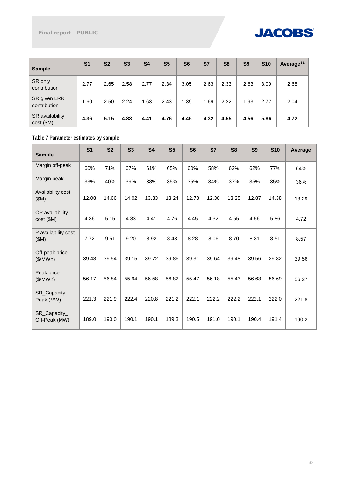

| <b>Sample</b>                   | S <sub>1</sub> | S <sub>2</sub> | S <sub>3</sub> | S <sub>4</sub> | S <sub>5</sub> | S <sub>6</sub> | S7   | S <sub>8</sub> | S <sub>9</sub> | <b>S10</b> | Average <sup>31</sup> |
|---------------------------------|----------------|----------------|----------------|----------------|----------------|----------------|------|----------------|----------------|------------|-----------------------|
| SR only<br>contribution         | 2.77           | 2.65           | 2.58           | 2.77           | 2.34           | 3.05           | 2.63 | 2.33           | 2.63           | 3.09       | 2.68                  |
| SR given LRR<br>contribution    | 1.60           | 2.50           | 2.24           | 1.63           | 2.43           | 1.39           | 1.69 | 2.22           | 1.93           | 2.77       | 2.04                  |
| SR availability<br>$cost$ (\$M) | 4.36           | 5.15           | 4.83           | 4.41           | 4.76           | 4.45           | 4.32 | 4.55           | 4.56           | 5.86       | 4.72                  |

<span id="page-32-0"></span>**Table 7 Parameter estimates by sample**

| <b>Sample</b>                   | S <sub>1</sub> | <b>S2</b> | S <sub>3</sub> | <b>S4</b> | S <sub>5</sub> | S <sub>6</sub> | S7    | S <sub>8</sub> | S <sub>9</sub> | <b>S10</b> | Average |
|---------------------------------|----------------|-----------|----------------|-----------|----------------|----------------|-------|----------------|----------------|------------|---------|
| Margin off-peak                 | 60%            | 71%       | 67%            | 61%       | 65%            | 60%            | 58%   | 62%            | 62%            | 77%        | 64%     |
| Margin peak                     | 33%            | 40%       | 39%            | 38%       | 35%            | 35%            | 34%   | 37%            | 35%            | 35%        | 36%     |
| Availability cost<br>(SM)       | 12.08          | 14.66     | 14.02          | 13.33     | 13.24          | 12.73          | 12.38 | 13.25          | 12.87          | 14.38      | 13.29   |
| OP availability<br>$cost$ (\$M) | 4.36           | 5.15      | 4.83           | 4.41      | 4.76           | 4.45           | 4.32  | 4.55           | 4.56           | 5.86       | 4.72    |
| P availability cost<br>(SM)     | 7.72           | 9.51      | 9.20           | 8.92      | 8.48           | 8.28           | 8.06  | 8.70           | 8.31           | 8.51       | 8.57    |
| Off-peak price<br>(\$/MWh)      | 39.48          | 39.54     | 39.15          | 39.72     | 39.86          | 39.31          | 39.64 | 39.48          | 39.56          | 39.82      | 39.56   |
| Peak price<br>(\$/MWh)          | 56.17          | 56.84     | 55.94          | 56.58     | 56.82          | 55.47          | 56.18 | 55.43          | 56.63          | 56.69      | 56.27   |
| SR_Capacity<br>Peak (MW)        | 221.3          | 221.9     | 222.4          | 220.8     | 221.2          | 222.1          | 222.2 | 222.2          | 222.1          | 222.0      | 221.8   |
| SR_Capacity_<br>Off-Peak (MW)   | 189.0          | 190.0     | 190.1          | 190.1     | 189.3          | 190.5          | 191.0 | 190.1          | 190.4          | 191.4      | 190.2   |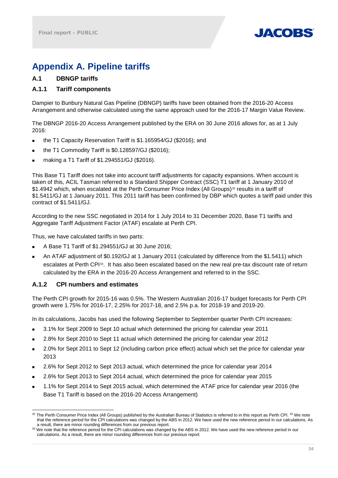

# <span id="page-33-0"></span>**Appendix A. Pipeline tariffs**

### **A.1 DBNGP tariffs**

### **A.1.1 Tariff components**

Dampier to Bunbury Natural Gas Pipeline (DBNGP) tariffs have been obtained from the 2016-20 Access Arrangement and otherwise calculated using the same approach used for the 2016-17 Margin Value Review.

The DBNGP 2016-20 Access Arrangement published by the ERA on 30 June 2016 allows for, as at 1 July 2016:

- the T1 Capacity Reservation Tariff is \$1.165954/GJ (\$2016); and
- the T1 Commodity Tariff is \$0.128597/GJ (\$2016);
- making a T1 Tariff of \$1.294551/GJ (\$2016).

This Base T1 Tariff does not take into account tariff adjustments for capacity expansions. When account is taken of this, ACIL Tasman referred to a Standard Shipper Contract (SSC) T1 tariff at 1 January 2010 of \$1.4942 which, when escalated at the Perth Consumer Price Index (All Groups)<sup>[32](#page-33-1)</sup> results in a tariff of \$1.5411/GJ at 1 January 2011. This 2011 tariff has been confirmed by DBP which quotes a tariff paid under this contract of \$1.5411/GJ.

According to the new SSC negotiated in 2014 for 1 July 2014 to 31 December 2020, Base T1 tariffs and Aggregate Tariff Adjustment Factor (ATAF) escalate at Perth CPI.

Thus, we have calculated tariffs in two parts:

- A Base T1 Tariff of \$1.294551/GJ at 30 June 2016;
- An ATAF adjustment of \$0.192/GJ at 1 January 2011 (calculated by difference from the \$1.5411) which escalates at Perth CPI<sup>33</sup>. It has also been escalated based on the new real pre-tax discount rate of return calculated by the ERA in the 2016-20 Access Arrangement and referred to in the SSC.

## **A.1.2 CPI numbers and estimates**

The Perth CPI growth for 2015-16 was 0.5%. The Western Australian 2016-17 budget forecasts for Perth CPI growth were 1.75% for 2016-17, 2.25% for 2017-18, and 2.5% p.a. for 2018-19 and 2019-20.

In its calculations, Jacobs has used the following September to September quarter Perth CPI increases:

- 3.1% for Sept 2009 to Sept 10 actual which determined the pricing for calendar year 2011
- 2.8% for Sept 2010 to Sept 11 actual which determined the pricing for calendar year 2012
- 2.0% for Sept 2011 to Sept 12 (including carbon price effect) actual which set the price for calendar year 2013
- 2.6% for Sept 2012 to Sept 2013 actual, which determined the price for calendar year 2014
- 2.6% for Sept 2013 to Sept 2014 actual, which determined the price for calendar year 2015
- 1.1% for Sept 2014 to Sept 2015 actual, which determined the ATAF price for calendar year 2016 (the Base T1 Tariff is based on the 2016-20 Access Arrangement)

<span id="page-33-1"></span><sup>32</sup> The Perth Consumer Price Index (All Groups) published by the Australian Bureau of Statistics is referred to in this report as Perth CPI. 33 We note that the reference period for the CPI calculations was changed by the ABS in 2012. We have used the new reference period in our calculations. As

<span id="page-33-2"></span><sup>&</sup>lt;sup>33</sup> We note that the reference period for the CPI calculations was changed by the ABS in 2012. We have used the new reference period in our calculations. As a result, there are minor rounding differences from our previous report.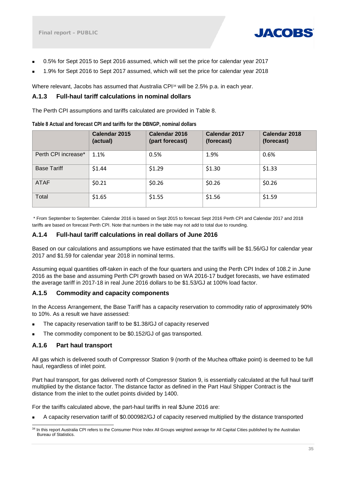

- 0.5% for Sept 2015 to Sept 2016 assumed, which will set the price for calendar year 2017
- 1.9% for Sept 2016 to Sept 2017 assumed, which will set the price for calendar year 2018

Where relevant, Jacobs has assumed that Australia CPI $44$  will be 2.5% p.a. in each year.

### **A.1.3 Full-haul tariff calculations in nominal dollars**

The Perth CPI assumptions and tariffs calculated are provided in [Table 8.](#page-34-0)

<span id="page-34-0"></span>**Table 8 Actual and forecast CPI and tariffs for the DBNGP, nominal dollars**

|                     | Calendar 2015<br>(actual) | Calendar 2016<br>(part forecast) | Calendar 2017<br>(forecast) | Calendar 2018<br>(forecast) |
|---------------------|---------------------------|----------------------------------|-----------------------------|-----------------------------|
| Perth CPI increase* | 1.1%                      | 0.5%                             | 1.9%                        | 0.6%                        |
| <b>Base Tariff</b>  | \$1.44                    | \$1.29                           | \$1.30                      | \$1.33                      |
| <b>ATAF</b>         | \$0.21                    | \$0.26                           | \$0.26                      | \$0.26                      |
| Total               | \$1.65                    | \$1.55                           | \$1.56                      | \$1.59                      |

\* From September to September. Calendar 2016 is based on Sept 2015 to forecast Sept 2016 Perth CPI and Calendar 2017 and 2018 tariffs are based on forecast Perth CPI. Note that numbers in the table may not add to total due to rounding.

### **A.1.4 Full-haul tariff calculations in real dollars of June 2016**

Based on our calculations and assumptions we have estimated that the tariffs will be \$1.56/GJ for calendar year 2017 and \$1.59 for calendar year 2018 in nominal terms.

Assuming equal quantities off-taken in each of the four quarters and using the Perth CPI Index of 108.2 in June 2016 as the base and assuming Perth CPI growth based on WA 2016-17 budget forecasts, we have estimated the average tariff in 2017-18 in real June 2016 dollars to be \$1.53/GJ at 100% load factor.

## **A.1.5 Commodity and capacity components**

In the Access Arrangement, the Base Tariff has a capacity reservation to commodity ratio of approximately 90% to 10%. As a result we have assessed:

- The capacity reservation tariff to be \$1.38/GJ of capacity reserved
- The commodity component to be \$0.152/GJ of gas transported.

## **A.1.6 Part haul transport**

All gas which is delivered south of Compressor Station 9 (north of the Muchea offtake point) is deemed to be full haul, regardless of inlet point.

Part haul transport, for gas delivered north of Compressor Station 9, is essentially calculated at the full haul tariff multiplied by the distance factor. The distance factor as defined in the Part Haul Shipper Contract is the distance from the inlet to the outlet points divided by 1400.

For the tariffs calculated above, the part-haul tariffs in real \$June 2016 are:

A capacity reservation tariff of \$0.000982/GJ of capacity reserved multiplied by the distance transported

<span id="page-34-1"></span><sup>34</sup> In this report Australia CPI refers to the Consumer Price Index All Groups weighted average for All Capital Cities published by the Australian Bureau of Statistics.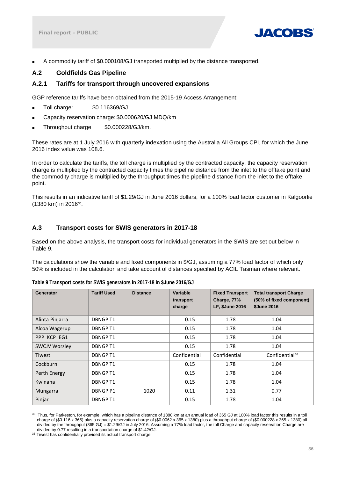

A commodity tariff of \$0.000108/GJ transported multiplied by the distance transported.

### **A.2 Goldfields Gas Pipeline**

### **A.2.1 Tariffs for transport through uncovered expansions**

GGP reference tariffs have been obtained from the 2015-19 Access Arrangement:

- Toll charge: \$0.116369/GJ
- Capacity reservation charge: \$0.000620/GJ MDQ/km
- Throughput charge \$0.000228/GJ/km.

These rates are at 1 July 2016 with quarterly indexation using the Australia All Groups CPI, for which the June 2016 index value was 108.6.

In order to calculate the tariffs, the toll charge is multiplied by the contracted capacity, the capacity reservation charge is multiplied by the contracted capacity times the pipeline distance from the inlet to the offtake point and the commodity charge is multiplied by the throughput times the pipeline distance from the inlet to the offtake point.

This results in an indicative tariff of \$1.29/GJ in June 2016 dollars, for a 100% load factor customer in Kalgoorlie (1380 km) in 2016[35](#page-35-1).

## **A.3 Transport costs for SWIS generators in 2017-18**

Based on the above analysis, the transport costs for individual generators in the SWIS are set out below in [Table 9.](#page-35-0)

The calculations show the variable and fixed components in \$/GJ, assuming a 77% load factor of which only 50% is included in the calculation and take account of distances specified by ACIL Tasman where relevant.

| Generator            | <b>Tariff Used</b> | <b>Distance</b> | Variable<br>transport<br>charge | <b>Fixed Transport</b><br>Charge, 77%<br><b>LF, \$June 2016</b> | <b>Total transport Charge</b><br>(50% of fixed component)<br><b>\$June 2016</b> |
|----------------------|--------------------|-----------------|---------------------------------|-----------------------------------------------------------------|---------------------------------------------------------------------------------|
| Alinta Pinjarra      | <b>DBNGPT1</b>     |                 | 0.15                            | 1.78                                                            | 1.04                                                                            |
| Alcoa Wagerup        | <b>DBNGPT1</b>     |                 | 0.15                            | 1.78                                                            | 1.04                                                                            |
| PPP_KCP_EG1          | <b>DBNGPT1</b>     |                 | 0.15                            | 1.78                                                            | 1.04                                                                            |
| <b>SWCJV Worsley</b> | <b>DBNGPT1</b>     |                 | 0.15                            | 1.78                                                            | 1.04                                                                            |
| <b>Tiwest</b>        | <b>DBNGPT1</b>     |                 | Confidential                    | Confidential                                                    | Confidential <sup>36</sup>                                                      |
| Cockburn             | <b>DBNGPT1</b>     |                 | 0.15                            | 1.78                                                            | 1.04                                                                            |
| Perth Energy         | <b>DBNGPT1</b>     |                 | 0.15                            | 1.78                                                            | 1.04                                                                            |
| Kwinana              | <b>DBNGPT1</b>     |                 | 0.15                            | 1.78                                                            | 1.04                                                                            |
| Mungarra             | <b>DBNGPP1</b>     | 1020            | 0.11                            | 1.31                                                            | 0.77                                                                            |
| Pinjar               | <b>DBNGPT1</b>     |                 | 0.15                            | 1.78                                                            | 1.04                                                                            |

<span id="page-35-0"></span>

|  |  | Table 9 Transport costs for SWIS generators in 2017-18 in \$June 2016/GJ |
|--|--|--------------------------------------------------------------------------|
|--|--|--------------------------------------------------------------------------|

<span id="page-35-1"></span><sup>35</sup> Thus, for Parkeston, for example, which has a pipeline distance of 1380 km at an annual load of 365 GJ at 100% load factor this results in a toll charge of (\$0.116 x 365) plus a capacity reservation charge of (\$0.0062 x 365 x 1380) plus a throughput charge of (\$0.000228 x 365 x 1380) all divided by the throughput (365 GJ) = \$1.29/GJ in July 2016. Assuming a 77% load factor, the toll Charge and capacity reservation Charge are divided by 0.77 resulting in a transportation charge of \$1.42/GJ.

<span id="page-35-2"></span><sup>36</sup> Tiwest has confidentially provided its actual transport charge.